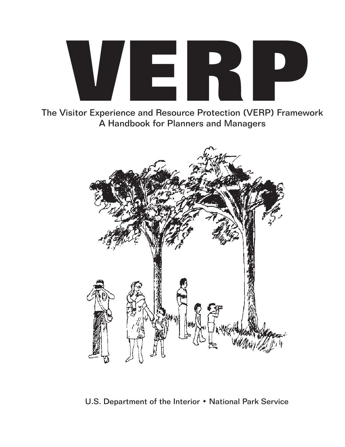

A Handbook for Planners and Managers



U.S. Department of the Interior • National Park Service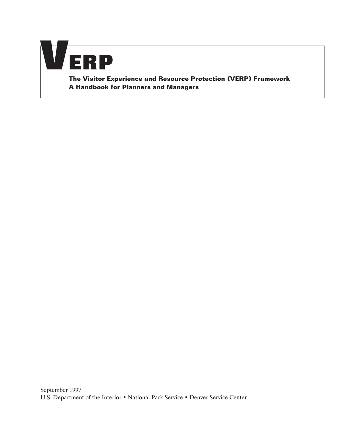

**The Visitor Experience and Resource Protection (VERP) Framework A Handbook for Planners and Managers**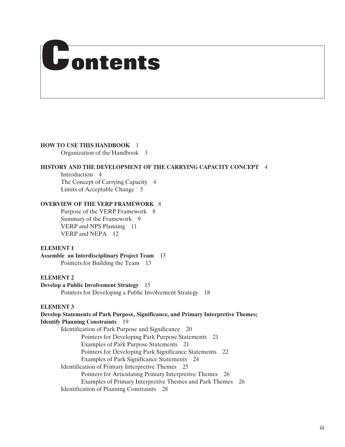# **U**ontents

#### **HOW TO USE THIS HANDBOOK** 1

Organization of the Handbook 3

#### **HISTORY AND THE DEVELOPMENT OF THE CARRYING CAPACITY CONCEPT** 4

Introduction 4 The Concept of Carrying Capacity 4 Limits of Acceptable Change 5

#### **OVERVIEW OF THE VERP FRAMEWORK** 8

Purpose of the VERP Framework 8 Summary of the Framework 9 VERP and NPS Planning 11 VERP and NEPA 12

#### **ELEMENT 1**

#### **Assemble an Interdisciplinary Project Team** 13

Pointers for Building the Team 13

#### **ELEMENT 2**

#### **Develop a Public Involvement Strategy** 15

Pointers for Developing a Public Involvement Strategy 18

#### **ELEMENT 3**

#### **Develop Statements of Park Purpose, Significance, and Primary Interpretive Themes;**

#### **Identify Planning Constraints** 19

Identification of Park Purpose and Significance 20 Pointers for Developing Park Purpose Statements 21 Examples of Park Purpose Statements 21 Pointers for Developing Park Significance Statements 22 Examples of Park Significance Statements 24 Identification of Primary Interpretive Themes 25 Pointers for Articulating Primary Interpretive Themes 26 Examples of Primary Interpretive Themes and Park Themes 26 Identification of Planning Constraints 28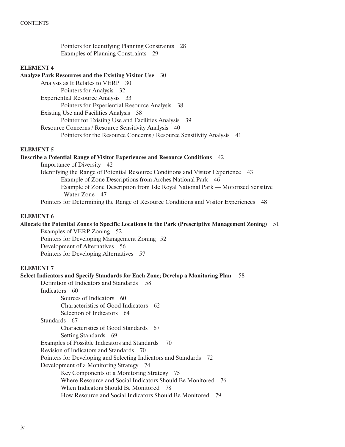Pointers for Identifying Planning Constraints 28 Examples of Planning Constraints 29

#### **ELEMENT 4**

#### **Analyze Park Resources and the Existing Visitor Use** 30

Analysis as It Relates to VERP 30 Pointers for Analysis 32 Experiential Resource Analysis 33 Pointers for Experiential Resource Analysis 38 Existing Use and Facilities Analysis 38 Pointer for Existing Use and Facilities Analysis 39 Resource Concerns / Resource Sensitivity Analysis 40 Pointers for the Resource Concerns / Resource Sensitivity Analysis 41

#### **ELEMENT 5**

#### **Describe a Potential Range of Visitor Experiences and Resource Conditions** 42

Importance of Diversity 42 Identifying the Range of Potential Resource Conditions and Visitor Experience 43 Example of Zone Descriptions from Arches National Park 46 Example of Zone Description from Isle Royal National Park — Motorized Sensitive Water Zone 47 Pointers for Determining the Range of Resource Conditions and Visitor Experiences 48

#### **ELEMENT 6**

#### **Allocate the Potential Zones to Specific Locations in the Park (Prescriptive Management Zoning)** 51

Examples of VERP Zoning 52 Pointers for Developing Management Zoning 52 Development of Alternatives 56 Pointers for Developing Alternatives 57

#### **ELEMENT 7**

#### **Select Indicators and Specify Standards for Each Zone; Develop a Monitoring Plan** 58 Definition of Indicators and Standards 58 Indicators 60 Sources of Indicators 60 Characteristics of Good Indicators 62 Selection of Indicators 64 Standards 67 Characteristics of Good Standards 67 Setting Standards 69 Examples of Possible Indicators and Standards 70 Revision of Indicators and Standards 70 Pointers for Developing and Selecting Indicators and Standards 72 Development of a Monitoring Strategy 74 Key Components of a Monitoring Strategy 75 Where Resource and Social Indicators Should Be Monitored 76 When Indicators Should Be Monitored 78 How Resource and Social Indicators Should Be Monitored 79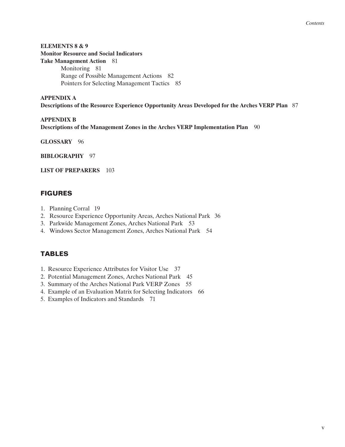#### **ELEMENTS8&9**

#### **Monitor Resource and Social Indicators Take Management Action** 81

Monitoring 81 Range of Possible Management Actions 82 Pointers for Selecting Management Tactics 85

#### **APPENDIX A Descriptions of the Resource Experience Opportunity Areas Developed for the Arches VERP Plan** 87

#### **APPENDIX B Descriptions of the Management Zones in the Arches VERP Implementation Plan** 90

**GLOSSARY** 96

**BIBLOGRAPHY** 97

**LIST OF PREPARERS** 103

#### **FIGURES**

- 1. Planning Corral 19
- 2. Resource Experience Opportunity Areas, Arches National Park 36
- 3. Parkwide Management Zones, Arches National Park 53
- 4. Windows Sector Management Zones, Arches National Park 54

#### **TABLES**

- 1. Resource Experience Attributes for Visitor Use 37
- 2. Potential Management Zones, Arches National Park 45
- 3. Summary of the Arches National Park VERP Zones 55
- 4. Example of an Evaluation Matrix for Selecting Indicators 66
- 5. Examples of Indicators and Standards 71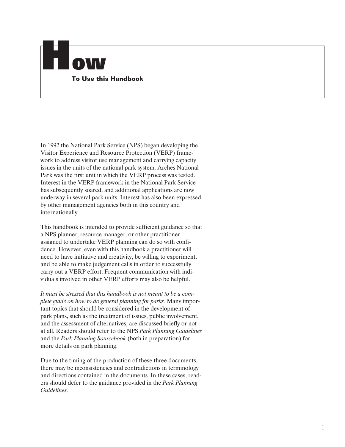# **How**

#### **To Use this Handbook**

In 1992 the National Park Service (NPS) began developing the Visitor Experience and Resource Protection (VERP) framework to address visitor use management and carrying capacity issues in the units of the national park system. Arches National Park was the first unit in which the VERP process was tested. Interest in the VERP framework in the National Park Service has subsequently soared, and additional applications are now underway in several park units. Interest has also been expressed by other management agencies both in this country and internationally.

This handbook is intended to provide sufficient guidance so that a NPS planner, resource manager, or other practitioner assigned to undertake VERP planning can do so with confidence. However, even with this handbook a practitioner will need to have initiative and creativity, be willing to experiment, and be able to make judgement calls in order to successfully carry out a VERP effort. Frequent communication with individuals involved in other VERP efforts may also be helpful.

*It must be stressed that this handbook is not meant to be a complete guide on how to do general planning for parks.* Many important topics that should be considered in the development of park plans, such as the treatment of issues, public involvement, and the assessment of alternatives, are discussed briefly or not at all. Readers should refer to the NPS *Park Planning Guidelines* and the *Park Planning Sourcebook* (both in preparation) for more details on park planning.

Due to the timing of the production of these three documents, there may be inconsistencies and contradictions in terminology and directions contained in the documents. In these cases, readers should defer to the guidance provided in the *Park Planning Guidelines*.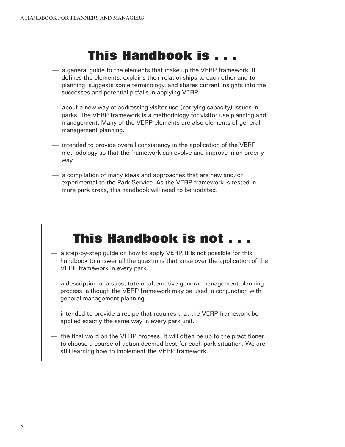#### This Handbook is...

- a general guide to the elements that make up the VERP framework. It defines the elements, explains their relationships to each other and to planning, suggests some terminology, and shares current insights into the successes and potential pitfalls in applying VERP.
- about a new way of addressing visitor use (carrying capacity) issues in parks. The VERP framework is a methodology for visitor use planning and management. Many of the VERP elements are also elements of general management planning.
- intended to provide overall consistency in the application of the VERP methodology so that the framework can evolve and improve in an orderly way.
- a compilation of many ideas and approaches that are new and/or experimental to the Park Service. As the VERP framework is tested in more park areas, this handbook will need to be updated.

#### This Handbook is not...

- a step-by-step guide on how to apply VERP. It is not possible for this handbook to answer all the questions that arise over the application of the VERP framework in every park.
- a description of a substitute or alternative general management planning process, although the VERP framework may be used in conjunction with general management planning.
- intended to provide a recipe that requires that the VERP framework be applied exactly the same way in every park unit.
- the final word on the VERP process. It will often be up to the practitioner to choose a course of action deemed best for each park situation. We are still learning how to implement the VERP framework.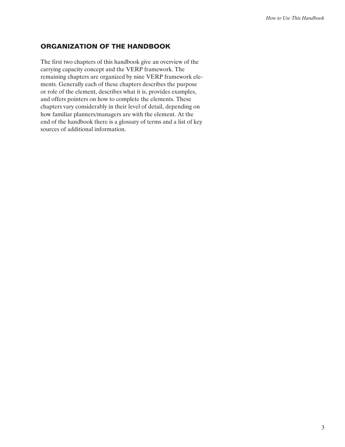#### **ORGANIZATION OF THE HANDBOOK**

The first two chapters of this handbook give an overview of the carrying capacity concept and the VERP framework. The remaining chapters are organized by nine VERP framework elements. Generally each of these chapters describes the purpose or role of the element, describes what it is, provides examples, and offers pointers on how to complete the elements. These chapters vary considerably in their level of detail, depending on how familiar planners/managers are with the element. At the end of the handbook there is a glossary of terms and a list of key sources of additional information.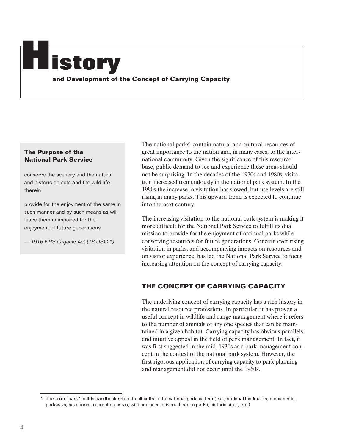### **Mistory**

#### and Development of the Concept of Carrying Capacity

#### The Purpose of the **National Park Service**

conserve the scenery and the natural and historic objects and the wild life therein

provide for the enjoyment of the same in such manner and by such means as will leave them unimpaired for the enjoyment of future generations

- 1916 NPS Organic Act (16 USC 1)

The national parks<sup>1</sup> contain natural and cultural resources of great importance to the nation and, in many cases, to the international community. Given the significance of this resource base, public demand to see and experience these areas should not be surprising. In the decades of the 1970s and 1980s, visitation increased tremendously in the national park system. In the 1990s the increase in visitation has slowed, but use levels are still rising in many parks. This upward trend is expected to continue into the next century.

The increasing visitation to the national park system is making it more difficult for the National Park Service to fulfill its dual mission to provide for the enjoyment of national parks while conserving resources for future generations. Concern over rising visitation in parks, and accompanying impacts on resources and on visitor experience, has led the National Park Service to focus increasing attention on the concept of carrying capacity.

#### THE CONCEPT OF CARRYING CAPACITY

The underlying concept of carrying capacity has a rich history in the natural resource professions. In particular, it has proven a useful concept in wildlife and range management where it refers to the number of animals of any one species that can be maintained in a given habitat. Carrying capacity has obvious parallels and intuitive appeal in the field of park management. In fact, it was first suggested in the mid-1930s as a park management concept in the context of the national park system. However, the first rigorous application of carrying capacity to park planning and management did not occur until the 1960s.

<sup>1.</sup> The term "park" in this handbook refers to all units in the national park system (e.g., national landmarks, monuments, parkways, seashores, recreation areas, wild and scenic rivers, historic parks, historic sites, etc.)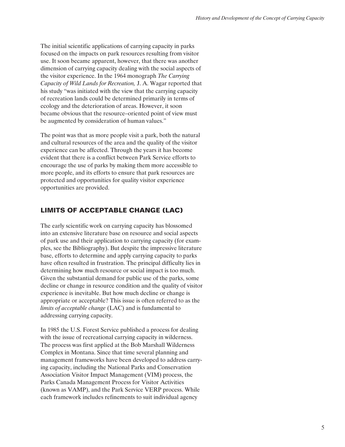The initial scientific applications of carrying capacity in parks focused on the impacts on park resources resulting from visitor use. It soon became apparent, however, that there was another dimension of carrying capacity dealing with the social aspects of the visitor experience. In the 1964 monograph *The Carrying Capacity of Wild Lands for Recreation,* J. A. Wagar reported that his study "was initiated with the view that the carrying capacity of recreation lands could be determined primarily in terms of ecology and the deterioration of areas. However, it soon became obvious that the resource–oriented point of view must be augmented by consideration of human values."

The point was that as more people visit a park, both the natural and cultural resources of the area and the quality of the visitor experience can be affected. Through the years it has become evident that there is a conflict between Park Service efforts to encourage the use of parks by making them more accessible to more people, and its efforts to ensure that park resources are protected and opportunities for quality visitor experience opportunities are provided.

#### **LIMITS OF ACCEPTABLE CHANGE (LAC)**

The early scientific work on carrying capacity has blossomed into an extensive literature base on resource and social aspects of park use and their application to carrying capacity (for examples, see the Bibliography). But despite the impressive literature base, efforts to determine and apply carrying capacity to parks have often resulted in frustration. The principal difficulty lies in determining how much resource or social impact is too much. Given the substantial demand for public use of the parks, some decline or change in resource condition and the quality of visitor experience is inevitable. But how much decline or change is appropriate or acceptable? This issue is often referred to as the *limits of acceptable change* (LAC) and is fundamental to addressing carrying capacity.

In 1985 the U.S. Forest Service published a process for dealing with the issue of recreational carrying capacity in wilderness. The process was first applied at the Bob Marshall Wilderness Complex in Montana. Since that time several planning and management frameworks have been developed to address carrying capacity, including the National Parks and Conservation Association Visitor Impact Management (VIM) process, the Parks Canada Management Process for Visitor Activities (known as VAMP), and the Park Service VERP process. While each framework includes refinements to suit individual agency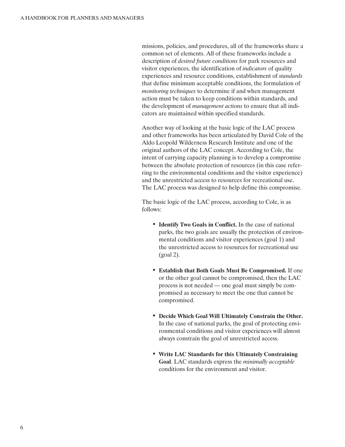missions, policies, and procedures, all of the frameworks share a common set of elements. All of these frameworks include a description of *desired future conditions* for park resources and visitor experiences, the identification of *indicators* of quality experiences and resource conditions, establishment of *standards* that define minimum acceptable conditions, the formulation of *monitoring techniques* to determine if and when management action must be taken to keep conditions within standards, and the development of *management actions* to ensure that all indicators are maintained within specified standards.

Another way of looking at the basic logic of the LAC process and other frameworks has been articulated by David Cole of the Aldo Leopold Wilderness Research Institute and one of the original authors of the LAC concept. According to Cole, the intent of carrying capacity planning is to develop a compromise between the absolute protection of resources (in this case referring to the environmental conditions and the visitor experience) and the unrestricted access to resources for recreational use. The LAC process was designed to help define this compromise.

The basic logic of the LAC process, according to Cole, is as follows:

- **Identify Two Goals in Conflict.** In the case of national parks, the two goals are usually the protection of environmental conditions and visitor experiences (goal 1) and the unrestricted access to resources for recreational use (goal 2).
- **Establish that Both Goals Must Be Compromised.** If one or the other goal cannot be compromised, then the LAC process is not needed — one goal must simply be compromised as necessary to meet the one that cannot be compromised.
- **Decide Which Goal Will Ultimately Constrain the Other.** In the case of national parks, the goal of protecting environmental conditions and visitor experiences will almost always constrain the goal of unrestricted access.
- **Write LAC Standards for this Ultimately Constraining Goal**. LAC standards express the *minimally acceptable* conditions for the environment and visitor.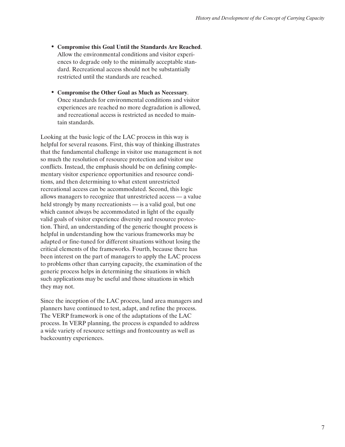- **Compromise this Goal Until the Standards Are Reached**. Allow the environmental conditions and visitor experiences to degrade only to the minimally acceptable standard. Recreational access should not be substantially restricted until the standards are reached.
- **Compromise the Other Goal as Much as Necessary**. Once standards for environmental conditions and visitor experiences are reached no more degradation is allowed, and recreational access is restricted as needed to maintain standards.

Looking at the basic logic of the LAC process in this way is helpful for several reasons. First, this way of thinking illustrates that the fundamental challenge in visitor use management is not so much the resolution of resource protection and visitor use conflicts. Instead, the emphasis should be on defining complementary visitor experience opportunities and resource conditions, and then determining to what extent unrestricted recreational access can be accommodated. Second, this logic allows managers to recognize that unrestricted access — a value held strongly by many recreationists — is a valid goal, but one which cannot always be accommodated in light of the equally valid goals of visitor experience diversity and resource protection. Third, an understanding of the generic thought process is helpful in understanding how the various frameworks may be adapted or fine-tuned for different situations without losing the critical elements of the frameworks. Fourth, because there has been interest on the part of managers to apply the LAC process to problems other than carrying capacity, the examination of the generic process helps in determining the situations in which such applications may be useful and those situations in which they may not.

Since the inception of the LAC process, land area managers and planners have continued to test, adapt, and refine the process. The VERP framework is one of the adaptations of the LAC process. In VERP planning, the process is expanded to address a wide variety of resource settings and frontcountry as well as backcountry experiences.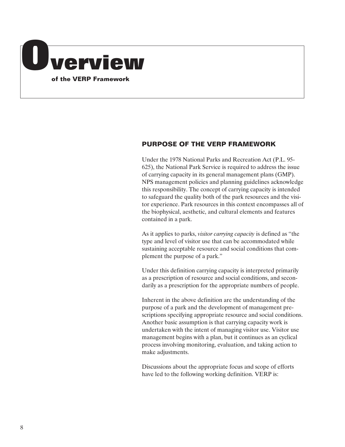### verview **of the VERP Framework**

#### **PURPOSE OF THE VERP FRAMEWORK**

Under the 1978 National Parks and Recreation Act (P.L. 95- 625), the National Park Service is required to address the issue of carrying capacity in its general management plans (GMP). NPS management policies and planning guidelines acknowledge this responsibility. The concept of carrying capacity is intended to safeguard the quality both of the park resources and the visitor experience. Park resources in this context encompasses all of the biophysical, aesthetic, and cultural elements and features contained in a park.

As it applies to parks, *visitor carrying capacity* is defined as "the type and level of visitor use that can be accommodated while sustaining acceptable resource and social conditions that complement the purpose of a park."

Under this definition carrying capacity is interpreted primarily as a prescription of resource and social conditions, and secondarily as a prescription for the appropriate numbers of people.

Inherent in the above definition are the understanding of the purpose of a park and the development of management prescriptions specifying appropriate resource and social conditions. Another basic assumption is that carrying capacity work is undertaken with the intent of managing visitor use. Visitor use management begins with a plan, but it continues as an cyclical process involving monitoring, evaluation, and taking action to make adjustments.

Discussions about the appropriate focus and scope of efforts have led to the following working definition. VERP is: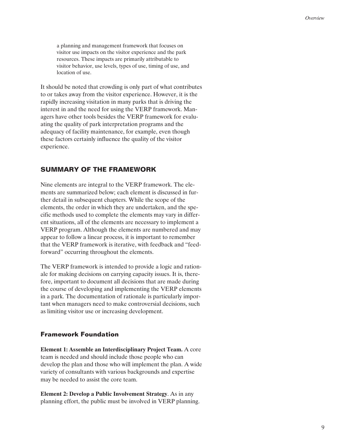a planning and management framework that focuses on visitor use impacts on the visitor experience and the park resources. These impacts are primarily attributable to visitor behavior, use levels, types of use, timing of use, and location of use.

It should be noted that crowding is only part of what contributes to or takes away from the visitor experience. However, it is the rapidly increasing visitation in many parks that is driving the interest in and the need for using the VERP framework. Managers have other tools besides the VERP framework for evaluating the quality of park interpretation programs and the adequacy of facility maintenance, for example, even though these factors certainly influence the quality of the visitor experience.

#### **SUMMARY OF THE FRAMEWORK**

Nine elements are integral to the VERP framework. The elements are summarized below; each element is discussed in further detail in subsequent chapters. While the scope of the elements, the order in which they are undertaken, and the specific methods used to complete the elements may vary in different situations, all of the elements are necessary to implement a VERP program. Although the elements are numbered and may appear to follow a linear process, it is important to remember that the VERP framework is iterative, with feedback and "feedforward" occurring throughout the elements.

The VERP framework is intended to provide a logic and rationale for making decisions on carrying capacity issues. It is, therefore, important to document all decisions that are made during the course of developing and implementing the VERP elements in a park. The documentation of rationale is particularly important when managers need to make controversial decisions, such as limiting visitor use or increasing development.

#### **Framework Foundation**

**Element 1: Assemble an Interdisciplinary Project Team.** A core team is needed and should include those people who can develop the plan and those who will implement the plan. A wide variety of consultants with various backgrounds and expertise may be needed to assist the core team.

**Element 2: Develop a Public Involvement Strategy**. As in any planning effort, the public must be involved in VERP planning.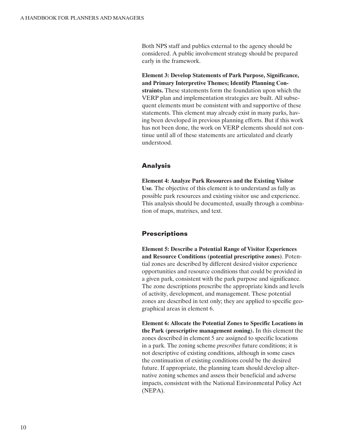Both NPS staff and publics external to the agency should be considered. A public involvement strategy should be prepared early in the framework.

**Element 3: Develop Statements of Park Purpose, Significance, and Primary Interpretive Themes; Identify Planning Constraints.** These statements form the foundation upon which the VERP plan and implementation strategies are built. All subsequent elements must be consistent with and supportive of these statements. This element may already exist in many parks, having been developed in previous planning efforts. But if this work has not been done, the work on VERP elements should not continue until all of these statements are articulated and clearly understood.

#### **Analysis**

**Element 4: Analyze Park Resources and the Existing Visitor Use***.* The objective of this element is to understand as fully as possible park resources and existing visitor use and experience. This analysis should be documented, usually through a combination of maps, matrixes, and text.

#### **Prescriptions**

**Element 5: Describe a Potential Range of Visitor Experiences and Resource Conditions (potential prescriptive zones)**. Potential zones are described by different desired visitor experience opportunities and resource conditions that could be provided in a given park, consistent with the park purpose and significance. The zone descriptions prescribe the appropriate kinds and levels of activity, development, and management. These potential zones are described in text only; they are applied to specific geographical areas in element 6.

**Element 6: Allocate the Potential Zones to Specific Locations in the Park (prescriptive management zoning).** In this element the zones described in element 5 are assigned to specific locations in a park. The zoning scheme *prescribes* future conditions; it is not descriptive of existing conditions, although in some cases the continuation of existing conditions could be the desired future. If appropriate, the planning team should develop alternative zoning schemes and assess their beneficial and adverse impacts, consistent with the National Environmental Policy Act (NEPA).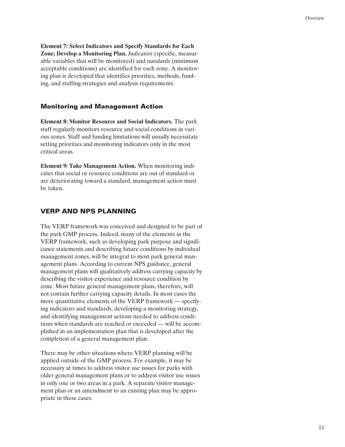**Element 7: Select Indicators and Specify Standards for Each Zone; Develop a Monitoring Plan.** *Indicators* (specific, measurable variables that will be monitored) and *standards* (minimum acceptable conditions) are identified for each zone. A monitor-

ing plan is developed that identifies priorities, methods, funding, and staffing strategies and analysis requirements.

#### **Monitoring and Management Action**

**Element 8: Monitor Resource and Social Indicators.** The park staff regularly monitors resource and social conditions in various zones. Staff and funding limitations will usually necessitate setting priorities and monitoring indicators only in the most critical areas.

**Element 9: Take Management Action.** When monitoring indicates that social or resource conditions are out of standard or are deteriorating toward a standard, management action must be taken.

#### **VERP AND NPS PLANNING**

The VERP framework was conceived and designed to be part of the park GMP process. Indeed, many of the elements in the VERP framework, such as developing park purpose and significance statements and describing future conditions by individual management zones, will be integral to most park general management plans. According to current NPS guidance, general management plans will qualitatively address carrying capacity by describing the visitor experience and resource condition by zone. Most future general management plans, therefore, will not contain further carrying capacity details. In most cases the more quantitative elements of the VERP framework — specifying indicators and standards, developing a monitoring strategy, and identifying management actions needed to address conditions when standards are reached or exceeded — will be accomplished in an implementation plan that is developed after the completion of a general management plan.

There may be other situations where VERP planning will be applied outside of the GMP process. For example, it may be necessary at times to address visitor use issues for parks with older general management plans or to address visitor use issues in only one or two areas in a park. A separate visitor management plan or an amendment to an existing plan may be appropriate in these cases.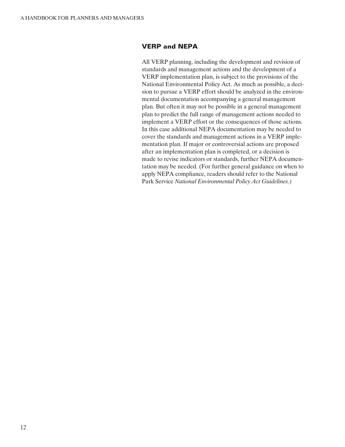#### **VERP and NEPA**

All VERP planning, including the development and revision of standards and management actions and the development of a VERP implementation plan, is subject to the provisions of the National Environmental Policy Act. As much as possible, a decision to pursue a VERP effort should be analyzed in the environmental documentation accompanying a general management plan. But often it may not be possible in a general management plan to predict the full range of management actions needed to implement a VERP effort or the consequences of those actions. In this case additional NEPA documentation may be needed to cover the standards and management actions in a VERP implementation plan. If major or controversial actions are proposed after an implementation plan is completed, or a decision is made to revise indicators or standards, further NEPA documentation may be needed. (For further general guidance on when to apply NEPA compliance, readers should refer to the National Park Service *National Environmental Policy Act Guidelines.)*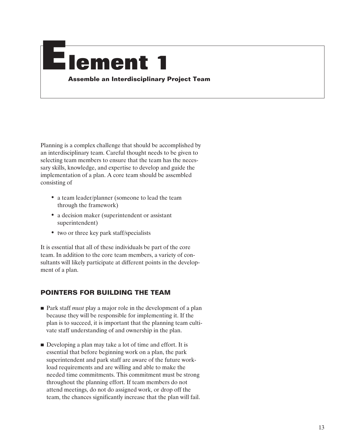### Element <sup>1</sup> **Assemble an Interdisciplinary Project Team**

Planning is a complex challenge that should be accomplished by an interdisciplinary team. Careful thought needs to be given to selecting team members to ensure that the team has the necessary skills, knowledge, and expertise to develop and guide the implementation of a plan. A core team should be assembled consisting of

- a team leader/planner (someone to lead the team through the framework)
- a decision maker (superintendent or assistant superintendent)
- two or three key park staff/specialists

It is essential that all of these individuals be part of the core team. In addition to the core team members, a variety of consultants will likely participate at different points in the development of a plan.

#### **POINTERS FOR BUILDING THE TEAM**

- Park staff *must* play a major role in the development of a plan because they will be responsible for implementing it. If the plan is to succeed, it is important that the planning team cultivate staff understanding of and ownership in the plan.
- Developing a plan may take a lot of time and effort. It is essential that before beginning work on a plan, the park superintendent and park staff are aware of the future workload requirements and are willing and able to make the needed time commitments. This commitment must be strong throughout the planning effort. If team members do not attend meetings, do not do assigned work, or drop off the team, the chances significantly increase that the plan will fail.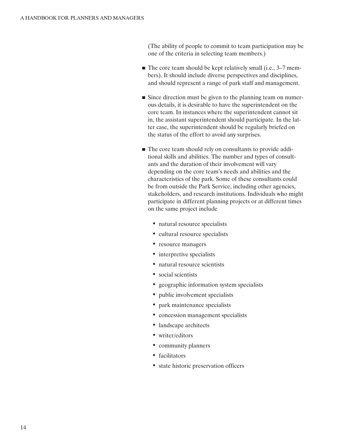(The ability of people to commit to team participation may be one of the criteria in selecting team members.)

- The core team should be kept relatively small (i.e., 3–7 members). It should include diverse perspectives and disciplines, and should represent a range of park staff and management.
- Since direction must be given to the planning team on numerous details, it is desirable to have the superintendent on the core team. In instances where the superintendent cannot sit in, the assistant superintendent should participate. In the latter case, the superintendent should be regularly briefed on the status of the effort to avoid any surprises.
- The core team should rely on consultants to provide additional skills and abilities. The number and types of consultants and the duration of their involvement will vary depending on the core team's needs and abilities and the characteristics of the park. Some of these consultants could be from outside the Park Service, including other agencies, stakeholders, and research institutions. Individuals who might participate in different planning projects or at different times on the same project include
	- natural resource specialists
	- cultural resource specialists
	- resource managers
	- interpretive specialists
	- natural resource scientists
	- social scientists
	- geographic information system specialists
	- public involvement specialists
	- park maintenance specialists
	- concession management specialists
	- landscape architects
	- writer/editors
	- community planners
	- facilitators
	- state historic preservation officers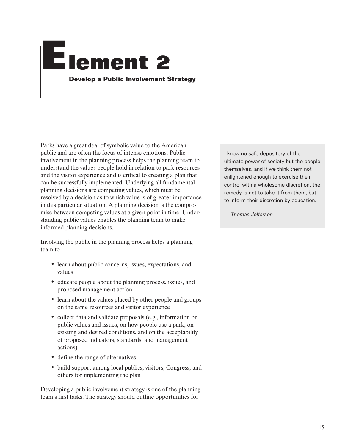### Element <sup>2</sup> **Develop a Public Involvement Strategy**

Parks have a great deal of symbolic value to the American public and are often the focus of intense emotions. Public involvement in the planning process helps the planning team to understand the values people hold in relation to park resources and the visitor experience and is critical to creating a plan that can be successfully implemented. Underlying all fundamental planning decisions are competing values, which must be resolved by a decision as to which value is of greater importance in this particular situation. A planning decision is the compromise between competing values at a given point in time. Understanding public values enables the planning team to make informed planning decisions.

Involving the public in the planning process helps a planning team to

- learn about public concerns, issues, expectations, and values
- educate people about the planning process, issues, and proposed management action
- learn about the values placed by other people and groups on the same resources and visitor experience
- collect data and validate proposals (e.g., information on public values and issues, on how people use a park, on existing and desired conditions, and on the acceptability of proposed indicators, standards, and management actions)
- define the range of alternatives
- build support among local publics, visitors, Congress, and others for implementing the plan

Developing a public involvement strategy is one of the planning team's first tasks. The strategy should outline opportunities for

*I know no safe depository of the ultimate power of society but the people themselves, and if we think them not enlightened enough to exercise their control with a wholesome discretion, the remedy is not to take it from them, but to inform their discretion by education.*

*— Thomas Jefferson*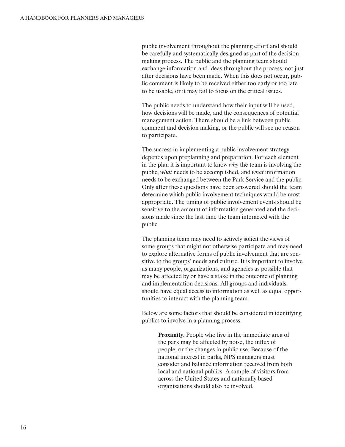public involvement throughout the planning effort and should be carefully and systematically designed as part of the decisionmaking process. The public and the planning team should exchange information and ideas throughout the process, not just after decisions have been made. When this does not occur, public comment is likely to be received either too early or too late to be usable, or it may fail to focus on the critical issues.

The public needs to understand how their input will be used, how decisions will be made, and the consequences of potential management action. There should be a link between public comment and decision making, or the public will see no reason to participate.

The success in implementing a public involvement strategy depends upon preplanning and preparation. For each element in the plan it is important to know *why* the team is involving the public, *what* needs to be accomplished, and *what* information needs to be exchanged between the Park Service and the public. Only after these questions have been answered should the team determine which public involvement techniques would be most appropriate. The timing of public involvement events should be sensitive to the amount of information generated and the decisions made since the last time the team interacted with the public.

The planning team may need to actively solicit the views of some groups that might not otherwise participate and may need to explore alternative forms of public involvement that are sensitive to the groups' needs and culture. It is important to involve as many people, organizations, and agencies as possible that may be affected by or have a stake in the outcome of planning and implementation decisions. All groups and individuals should have equal access to information as well as equal opportunities to interact with the planning team.

Below are some factors that should be considered in identifying publics to involve in a planning process.

> **Proximity.** People who live in the immediate area of the park may be affected by noise, the influx of people, or the changes in public use. Because of the national interest in parks, NPS managers must consider and balance information received from both local and national publics. A sample of visitors from across the United States and nationally based organizations should also be involved.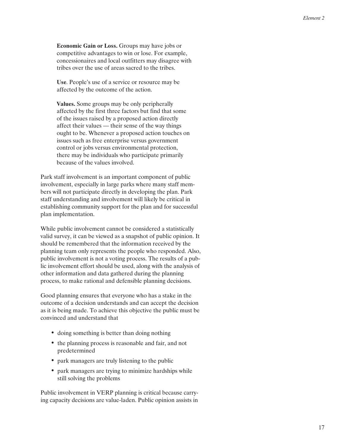**Economic Gain or Loss.** Groups may have jobs or competitive advantages to win or lose. For example, concessionaires and local outfitters may disagree with tribes over the use of areas sacred to the tribes.

**Use**. People's use of a service or resource may be affected by the outcome of the action.

**Values.** Some groups may be only peripherally affected by the first three factors but find that some of the issues raised by a proposed action directly affect their values — their sense of the way things ought to be. Whenever a proposed action touches on issues such as free enterprise versus government control or jobs versus environmental protection, there may be individuals who participate primarily because of the values involved.

Park staff involvement is an important component of public involvement, especially in large parks where many staff members will not participate directly in developing the plan. Park staff understanding and involvement will likely be critical in establishing community support for the plan and for successful plan implementation.

While public involvement cannot be considered a statistically valid survey, it can be viewed as a snapshot of public opinion. It should be remembered that the information received by the planning team only represents the people who responded. Also, public involvement is not a voting process. The results of a public involvement effort should be used, along with the analysis of other information and data gathered during the planning process, to make rational and defensible planning decisions.

Good planning ensures that everyone who has a stake in the outcome of a decision understands and can accept the decision as it is being made. To achieve this objective the public must be convinced and understand that

- doing something is better than doing nothing
- the planning process is reasonable and fair, and not predetermined
- park managers are truly listening to the public
- park managers are trying to minimize hardships while still solving the problems

Public involvement in VERP planning is critical because carrying capacity decisions are value-laden. Public opinion assists in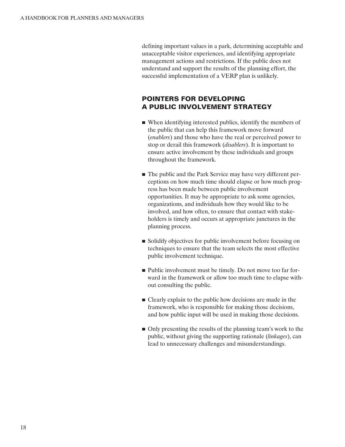defining important values in a park, determining acceptable and unacceptable visitor experiences, and identifying appropriate management actions and restrictions. If the public does not understand and support the results of the planning effort, the successful implementation of a VERP plan is unlikely.

#### **POINTERS FOR DEVELOPING A PUBLIC INVOLVEMENT STRATEGY**

- � When identifying interested publics, identify the members of the public that can help this framework move forward (*enablers*) and those who have the real or perceived power to stop or derail this framework (*disablers*). It is important to ensure active involvement by these individuals and groups throughout the framework.
- � The public and the Park Service may have very different perceptions on how much time should elapse or how much progress has been made between public involvement opportunities. It may be appropriate to ask some agencies, organizations, and individuals how they would like to be involved, and how often, to ensure that contact with stakeholders is timely and occurs at appropriate junctures in the planning process.
- � Solidify objectives for public involvement before focusing on techniques to ensure that the team selects the most effective public involvement technique.
- Public involvement must be timely. Do not move too far forward in the framework or allow too much time to elapse without consulting the public.
- � Clearly explain to the public how decisions are made in the framework, who is responsible for making those decisions, and how public input will be used in making those decisions.
- Only presenting the results of the planning team's work to the public, without giving the supporting rationale (*linkages*), can lead to unnecessary challenges and misunderstandings.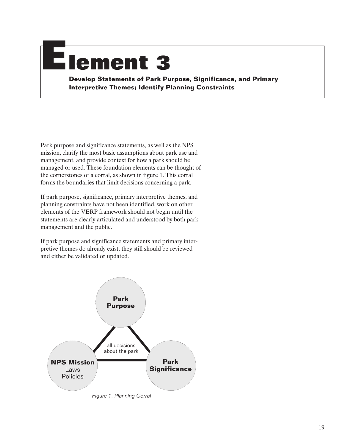## Element <sup>3</sup>

**Develop Statements of Park Purpose, Significance, and Primary Interpretive Themes; Identify Planning Constraints**

Park purpose and significance statements, as well as the NPS mission, clarify the most basic assumptions about park use and management, and provide context for how a park should be managed or used. These foundation elements can be thought of the cornerstones of a corral, as shown in figure 1. This corral forms the boundaries that limit decisions concerning a park.

If park purpose, significance, primary interpretive themes, and planning constraints have not been identified, work on other elements of the VERP framework should not begin until the statements are clearly articulated and understood by both park management and the public.

If park purpose and significance statements and primary interpretive themes do already exist, they still should be reviewed and either be validated or updated.



*Figure 1. Planning Corral*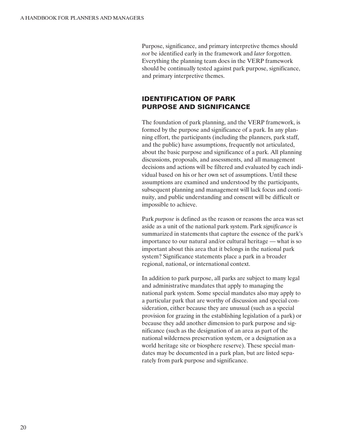Purpose, significance, and primary interpretive themes should *not* be identified early in the framework and *later* forgotten. Everything the planning team does in the VERP framework should be continually tested against park purpose, significance, and primary interpretive themes.

#### **IDENTIFICATION OF PARK PURPOSE AND SIGNIFICANCE**

The foundation of park planning, and the VERP framework, is formed by the purpose and significance of a park. In any planning effort, the participants (including the planners, park staff, and the public) have assumptions, frequently not articulated, about the basic purpose and significance of a park. All planning discussions, proposals, and assessments, and all management decisions and actions will be filtered and evaluated by each individual based on his or her own set of assumptions. Until these assumptions are examined and understood by the participants, subsequent planning and management will lack focus and continuity, and public understanding and consent will be difficult or impossible to achieve.

Park *purpose* is defined as the reason or reasons the area was set aside as a unit of the national park system. Park *significance* is summarized in statements that capture the essence of the park's importance to our natural and/or cultural heritage — what is so important about this area that it belongs in the national park system? Significance statements place a park in a broader regional, national, or international context.

In addition to park purpose, all parks are subject to many legal and administrative mandates that apply to managing the national park system. Some special mandates also may apply to a particular park that are worthy of discussion and special consideration, either because they are unusual (such as a special provision for grazing in the establishing legislation of a park) or because they add another dimension to park purpose and significance (such as the designation of an area as part of the national wilderness preservation system, or a designation as a world heritage site or biosphere reserve). These special mandates may be documented in a park plan, but are listed separately from park purpose and significance.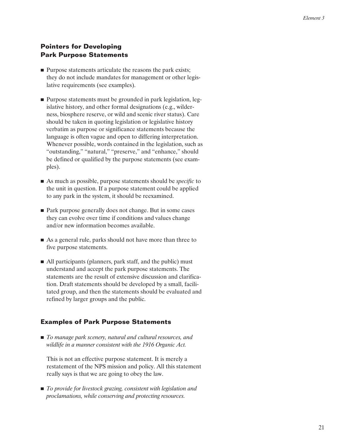#### **Pointers for Developing Park Purpose Statements**

- Purpose statements articulate the reasons the park exists; they do not include mandates for management or other legislative requirements (see examples).
- Purpose statements must be grounded in park legislation, legislative history, and other formal designations (e.g., wilderness, biosphere reserve, or wild and scenic river status). Care should be taken in quoting legislation or legislative history verbatim as purpose or significance statements because the language is often vague and open to differing interpretation. Whenever possible, words contained in the legislation, such as "outstanding," "natural," "preserve," and "enhance," should be defined or qualified by the purpose statements (see examples).
- � As much as possible, purpose statements should be *specific* to the unit in question. If a purpose statement could be applied to any park in the system, it should be reexamined.
- Park purpose generally does not change. But in some cases they can evolve over time if conditions and values change and/or new information becomes available.
- As a general rule, parks should not have more than three to five purpose statements.
- All participants (planners, park staff, and the public) must understand and accept the park purpose statements. The statements are the result of extensive discussion and clarification. Draft statements should be developed by a small, facilitated group, and then the statements should be evaluated and refined by larger groups and the public.

#### **Examples of Park Purpose Statements**

� *To manage park scenery, natural and cultural resources, and wildlife in a manner consistent with the 1916 Organic Act.*

This is not an effective purpose statement. It is merely a restatement of the NPS mission and policy. All this statement really says is that we are going to obey the law.

� *To provide for livestock grazing, consistent with legislation and proclamations, while conserving and protecting resources.*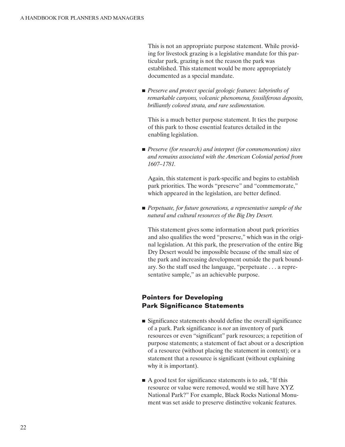This is not an appropriate purpose statement. While providing for livestock grazing is a legislative mandate for this particular park, grazing is not the reason the park was established. This statement would be more appropriately documented as a special mandate.

� *Preserve and protect special geologic features: labyrinths of remarkable canyons, volcanic phenomena, fossiliferous deposits, brilliantly colored strata, and rare sedimentation.*

This is a much better purpose statement. It ties the purpose of this park to those essential features detailed in the enabling legislation.

� *Preserve (for research) and interpret (for commemoration) sites and remains associated with the American Colonial period from 1607–1781.*

Again, this statement is park-specific and begins to establish park priorities. The words "preserve" and "commemorate," which appeared in the legislation, are better defined.

� *Perpetuate, for future generations, a representative sample of the natural and cultural resources of the Big Dry Desert.*

This statement gives some information about park priorities and also qualifies the word "preserve," which was in the original legislation. At this park, the preservation of the entire Big Dry Desert would be impossible because of the small size of the park and increasing development outside the park boundary. So the staff used the language, "perpetuate...a representative sample," as an achievable purpose.

#### **Pointers for Developing Park Significance Statements**

- � Significance statements should define the overall significance of a park. Park significance is *not* an inventory of park resources or even "significant" park resources; a repetition of purpose statements; a statement of fact about or a description of a resource (without placing the statement in context); or a statement that a resource is significant (without explaining why it is important).
- A good test for significance statements is to ask, "If this resource or value were removed, would we still have XYZ National Park?" For example, Black Rocks National Monument was set aside to preserve distinctive volcanic features.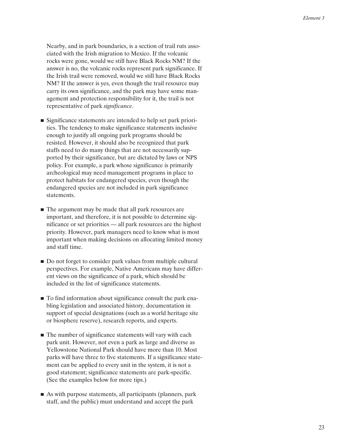Nearby, and in park boundaries, is a section of trail ruts associated with the Irish migration to Mexico. If the volcanic rocks were gone, would we still have Black Rocks NM? If the answer is no, the volcanic rocks represent park significance. If the Irish trail were removed, would we still have Black Rocks NM? If the answer is yes, even though the trail resource may carry its own significance, and the park may have some management and protection responsibility for it, the trail is not representative of park *significance*.

- � Significance statements are intended to help set park priorities. The tendency to make significance statements inclusive enough to justify all ongoing park programs should be resisted. However, it should also be recognized that park staffs need to do many things that are not necessarily supported by their significance, but are dictated by laws or NPS policy. For example, a park whose significance is primarily archeological may need management programs in place to protect habitats for endangered species, even though the endangered species are not included in park significance statements.
- The argument may be made that all park resources are important, and therefore, it is not possible to determine significance or set priorities — all park resources are the highest priority. However, park managers need to know what is most important when making decisions on allocating limited money and staff time.
- Do not forget to consider park values from multiple cultural perspectives. For example, Native Americans may have different views on the significance of a park, which should be included in the list of significance statements.
- $\blacksquare$  To find information about significance consult the park enabling legislation and associated history, documentation in support of special designations (such as a world heritage site or biosphere reserve), research reports, and experts.
- The number of significance statements will vary with each park unit. However, not even a park as large and diverse as Yellowstone National Park should have more than 10. Most parks will have three to five statements. If a significance statement can be applied to every unit in the system, it is not a good statement; significance statements are park-specific. (See the examples below for more tips.)
- As with purpose statements, all participants (planners, park staff, and the public) must understand and accept the park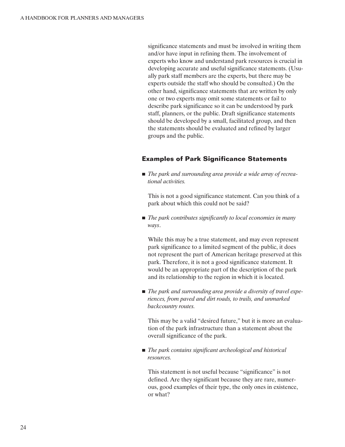significance statements and must be involved in writing them and/or have input in refining them. The involvement of experts who know and understand park resources is crucial in developing accurate and useful significance statements. (Usually park staff members are the experts, but there may be experts outside the staff who should be consulted.) On the other hand, significance statements that are written by only one or two experts may omit some statements or fail to describe park significance so it can be understood by park staff, planners, or the public. Draft significance statements should be developed by a small, facilitated group, and then the statements should be evaluated and refined by larger groups and the public.

#### **Examples of Park Significance Statements**

■ *The park and surrounding area provide a wide array of recreational activities.*

This is not a good significance statement. Can you think of a park about which this could not be said?

� *The park contributes significantly to local economies in many ways*.

While this may be a true statement, and may even represent park significance to a limited segment of the public, it does not represent the part of American heritage preserved at this park. Therefore, it is not a good significance statement. It would be an appropriate part of the description of the park and its relationship to the region in which it is located.

� *The park and surrounding area provide a diversity of travel experiences, from paved and dirt roads, to trails, and unmarked backcountry routes.*

This may be a valid "desired future," but it is more an evaluation of the park infrastructure than a statement about the overall significance of the park.

� *The park contains significant archeological and historical resources.*

This statement is not useful because "significance" is not defined. Are they significant because they are rare, numerous, good examples of their type, the only ones in existence, or what?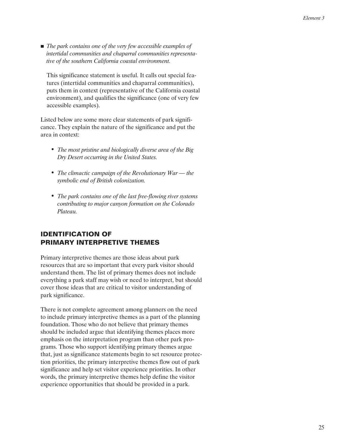� *The park contains one of the very few accessible examples of intertidal communities and chaparral communities representative of the southern California coastal environment.*

This significance statement is useful. It calls out special features (intertidal communities and chaparral communities), puts them in context (representative of the California coastal environment), and qualifies the significance (one of very few accessible examples).

Listed below are some more clear statements of park significance. They explain the nature of the significance and put the area in context:

- *The most pristine and biologically diverse area of the Big Dry Desert occurring in the United States.*
- *The climactic campaign of the Revolutionary War — the symbolic end of British colonization.*
- *The park contains one of the last free-flowing river systems contributing to major canyon formation on the Colorado Plateau.*

#### **IDENTIFICATION OF PRIMARY INTERPRETIVE THEMES**

Primary interpretive themes are those ideas about park resources that are so important that every park visitor should understand them. The list of primary themes does not include everything a park staff may wish or need to interpret, but should cover those ideas that are critical to visitor understanding of park significance.

There is not complete agreement among planners on the need to include primary interpretive themes as a part of the planning foundation. Those who do not believe that primary themes should be included argue that identifying themes places more emphasis on the interpretation program than other park programs. Those who support identifying primary themes argue that, just as significance statements begin to set resource protection priorities, the primary interpretive themes flow out of park significance and help set visitor experience priorities. In other words, the primary interpretive themes help define the visitor experience opportunities that should be provided in a park.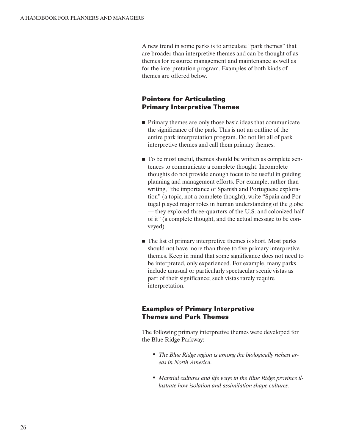A new trend in some parks is to articulate "park themes" that are broader than interpretive themes and can be thought of as themes for resource management and maintenance as well as for the interpretation program. Examples of both kinds of themes are offered below.

#### **Pointers for Articulating Primary Interpretive Themes**

- Primary themes are only those basic ideas that communicate the significance of the park. This is not an outline of the entire park interpretation program. Do not list all of park interpretive themes and call them primary themes.
- $\blacksquare$  To be most useful, themes should be written as complete sentences to communicate a complete thought. Incomplete thoughts do not provide enough focus to be useful in guiding planning and management efforts. For example, rather than writing, "the importance of Spanish and Portuguese exploration" (a topic, not a complete thought), write "Spain and Portugal played major roles in human understanding of the globe — they explored three-quarters of the U.S. and colonized half of it" (a complete thought, and the actual message to be conveyed).
- The list of primary interpretive themes is short. Most parks should not have more than three to five primary interpretive themes. Keep in mind that some significance does not need to be interpreted, only experienced. For example, many parks include unusual or particularly spectacular scenic vistas as part of their significance; such vistas rarely require interpretation.

#### **Examples of Primary Interpretive Themes and Park Themes**

The following primary interpretive themes were developed for the Blue Ridge Parkway:

- *The Blue Ridge region is among the biologically richest areas in North America.*
- *Material cultures and life ways in the Blue Ridge province illustrate how isolation and assimilation shape cultures.*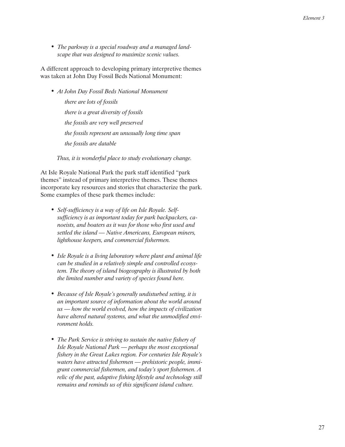• *The parkway is a special roadway and a managed landscape that was designed to maximize scenic values.*

A different approach to developing primary interpretive themes was taken at John Day Fossil Beds National Monument:

• *At John Day Fossil Beds National Monument*

*there are lots of fossils there is a great diversity of fossils the fossils are very well preserved the fossils represent an unusually long time span the fossils are datable*

*Thus, it is wonderful place to study evolutionary change.*

At Isle Royale National Park the park staff identified "park themes" instead of primary interpretive themes. These themes incorporate key resources and stories that characterize the park. Some examples of these park themes include:

- *Self-sufficiency is a way of life on Isle Royale. Selfsufficiency is as important today for park backpackers, canoeists, and boaters as it was for those who first used and settled the island — Native Americans, European miners, lighthouse keepers, and commercial fishermen.*
- *Isle Royale is a living laboratory where plant and animal life can be studied in a relatively simple and controlled ecosystem. The theory of island biogeography is illustrated by both the limited number and variety of species found here.*
- *Because of Isle Royale's generally undisturbed setting, it is an important source of information about the world around us — how the world evolved, how the impacts of civilization have altered natural systems, and what the unmodified environment holds.*
- *The Park Service is striving to sustain the native fishery of Isle Royale National Park — perhaps the most exceptional fishery in the Great Lakes region. For centuries Isle Royale's waters have attracted fishermen — prehistoric people, immigrant commercial fishermen, and today's sport fishermen. A relic of the past, adaptive fishing lifestyle and technology still remains and reminds us of this significant island culture.*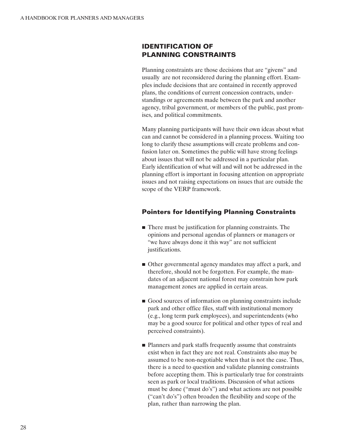#### **IDENTIFICATION OF PLANNING CONSTRAINTS**

Planning constraints are those decisions that are "givens" and usually are not reconsidered during the planning effort. Examples include decisions that are contained in recently approved plans, the conditions of current concession contracts, understandings or agreements made between the park and another agency, tribal government, or members of the public, past promises, and political commitments.

Many planning participants will have their own ideas about what can and cannot be considered in a planning process. Waiting too long to clarify these assumptions will create problems and confusion later on. Sometimes the public will have strong feelings about issues that will not be addressed in a particular plan. Early identification of what will and will not be addressed in the planning effort is important in focusing attention on appropriate issues and not raising expectations on issues that are outside the scope of the VERP framework.

#### **Pointers for Identifying Planning Constraints**

- � There must be justification for planning constraints. The opinions and personal agendas of planners or managers or "we have always done it this way" are not sufficient justifications.
- � Other governmental agency mandates may affect a park, and therefore, should not be forgotten. For example, the mandates of an adjacent national forest may constrain how park management zones are applied in certain areas.
- Good sources of information on planning constraints include park and other office files, staff with institutional memory (e.g., long term park employees), and superintendents (who may be a good source for political and other types of real and perceived constraints).
- **Planners and park staffs frequently assume that constraints** exist when in fact they are not real. Constraints also may be assumed to be non-negotiable when that is not the case. Thus, there is a need to question and validate planning constraints before accepting them. This is particularly true for constraints seen as park or local traditions. Discussion of what actions must be done ("must do's") and what actions are not possible ("can't do's") often broaden the flexibility and scope of the plan, rather than narrowing the plan.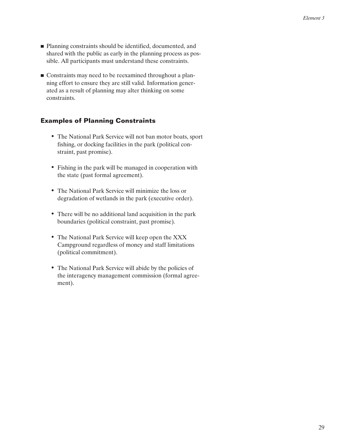- � Planning constraints should be identified, documented, and shared with the public as early in the planning process as possible. All participants must understand these constraints.
- Constraints may need to be reexamined throughout a planning effort to ensure they are still valid. Information generated as a result of planning may alter thinking on some constraints.

#### **Examples of Planning Constraints**

- The National Park Service will not ban motor boats, sport fishing, or docking facilities in the park (political constraint, past promise).
- Fishing in the park will be managed in cooperation with the state (past formal agreement).
- The National Park Service will minimize the loss or degradation of wetlands in the park (executive order).
- There will be no additional land acquisition in the park boundaries (political constraint, past promise).
- The National Park Service will keep open the XXX Campground regardless of money and staff limitations (political commitment).
- The National Park Service will abide by the policies of the interagency management commission (formal agreement).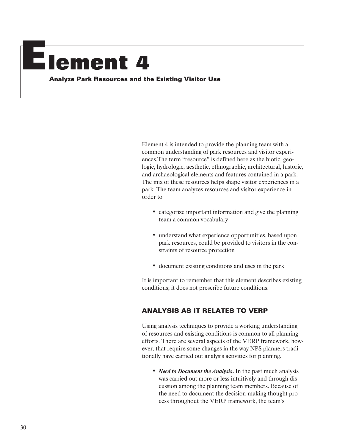### Element <sup>4</sup>

**Analyze Park Resources and the Existing Visitor Use**

Element 4 is intended to provide the planning team with a common understanding of park resources and visitor experiences.The term "resource" is defined here as the biotic, geologic, hydrologic, aesthetic, ethnographic, architectural, historic, and archaeological elements and features contained in a park. The mix of these resources helps shape visitor experiences in a park. The team analyzes resources and visitor experience in order to

- categorize important information and give the planning team a common vocabulary
- understand what experience opportunities, based upon park resources, could be provided to visitors in the constraints of resource protection
- document existing conditions and uses in the park

It is important to remember that this element describes existing conditions; it does not prescribe future conditions.

#### **ANALYSIS AS IT RELATES TO VERP**

Using analysis techniques to provide a working understanding of resources and existing conditions is common to all planning efforts. There are several aspects of the VERP framework, however, that require some changes in the way NPS planners traditionally have carried out analysis activities for planning.

• *Need to Document the Analysis***.** In the past much analysis was carried out more or less intuitively and through discussion among the planning team members. Because of the need to document the decision-making thought process throughout the VERP framework, the team's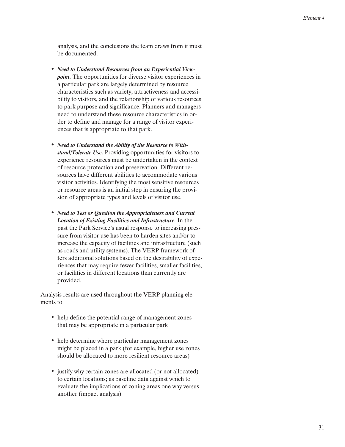analysis, and the conclusions the team draws from it must be documented.

- *Need to Understand Resources from an Experiential Viewpoint*. The opportunities for diverse visitor experiences in a particular park are largely determined by resource characteristics such as variety, attractiveness and accessibility to visitors, and the relationship of various resources to park purpose and significance. Planners and managers need to understand these resource characteristics in order to define and manage for a range of visitor experiences that is appropriate to that park.
- *Need to Understand the Ability of the Resource to Withstand/Tolerate Use.* Providing opportunities for visitors to experience resources must be undertaken in the context of resource protection and preservation. Different resources have different abilities to accommodate various visitor activities. Identifying the most sensitive resources or resource areas is an initial step in ensuring the provision of appropriate types and levels of visitor use.
- *Need to Test or Question the Appropriateness and Current Location of Existing Facilities and Infrastructure.* In the past the Park Service's usual response to increasing pressure from visitor use has been to harden sites and/or to increase the capacity of facilities and infrastructure (such as roads and utility systems). The VERP framework offers additional solutions based on the desirability of experiences that may require fewer facilities, smaller facilities, or facilities in different locations than currently are provided.

Analysis results are used throughout the VERP planning elements to

- help define the potential range of management zones that may be appropriate in a particular park
- help determine where particular management zones might be placed in a park (for example, higher use zones should be allocated to more resilient resource areas)
- justify why certain zones are allocated (or not allocated) to certain locations; as baseline data against which to evaluate the implications of zoning areas one way versus another (impact analysis)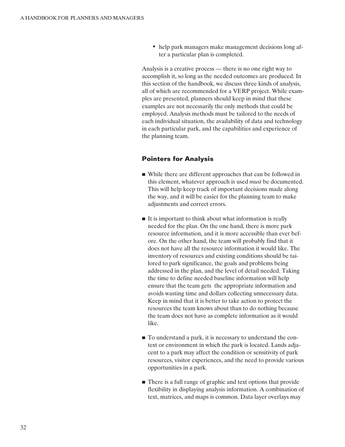• help park managers make management decisions long after a particular plan is completed.

Analysis is a creative process — there is no one right way to accomplish it, so long as the needed outcomes are produced. In this section of the handbook, we discuss three kinds of analysis, all of which are recommended for a VERP project. While examples are presented, planners should keep in mind that these examples are not necessarily the only methods that could be employed. Analysis methods must be tailored to the needs of each individual situation, the availability of data and technology in each particular park, and the capabilities and experience of the planning team.

#### **Pointers for Analysis**

- � While there are different approaches that can be followed in this element, whatever approach is used *must* be documented. This will help keep track of important decisions made along the way, and it will be easier for the planning team to make adjustments and correct errors.
- It is important to think about what information is really needed for the plan. On the one hand, there is more park resource information, and it is more accessible than ever before. On the other hand, the team will probably find that it does not have all the resource information it would like. The inventory of resources and existing conditions should be tailored to park significance, the goals and problems being addressed in the plan, and the level of detail needed. Taking the time to define needed baseline information will help ensure that the team gets the appropriate information and avoids wasting time and dollars collecting unnecessary data. Keep in mind that it is better to take action to protect the resources the team knows about than to do nothing because the team does not have as complete information as it would like.
- To understand a park, it is necessary to understand the context or environment in which the park is located. Lands adjacent to a park may affect the condition or sensitivity of park resources, visitor experiences, and the need to provide various opportunities in a park.
- � There is a full range of graphic and text options that provide flexibility in displaying analysis information. A combination of text, matrices, and maps is common. Data layer overlays may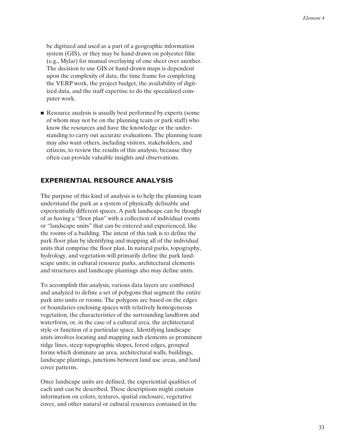be digitized and used as a part of a geographic information system (GIS), or they may be hand drawn on polyester film (e.g., Mylar) for manual overlaying of one sheet over another. The decision to use GIS or hand-drawn maps is dependent upon the complexity of data, the time frame for completing the VERP work, the project budget, the availability of digitized data, and the staff expertise to do the specialized computer work.

Resource analysis is usually best performed by experts (some of whom may not be on the planning team or park staff) who know the resources and have the knowledge or the understanding to carry out accurate evaluations. The planning team may also want others, including visitors, stakeholders, and citizens, to review the results of this analysis, because they often can provide valuable insights and observations.

#### **EXPERIENTIAL RESOURCE ANALYSIS**

The purpose of this kind of analysis is to help the planning team understand the park as a system of physically definable and experientially different spaces. A park landscape can be thought of as having a "floor plan" with a collection of individual rooms or "landscape units" that can be entered and experienced, like the rooms of a building. The intent of this task is to define the park floor plan by identifying and mapping all of the individual units that comprise the floor plan. In natural parks, topography, hydrology, and vegetation will primarily define the park landscape units; in cultural resource parks, architectural elements and structures and landscape plantings also may define units.

To accomplish this analysis, various data layers are combined and analyzed to define a set of polygons that segment the entire park into units or rooms. The polygons are based on the edges or boundaries enclosing spaces with relatively homogeneous vegetation, the characteristics of the surrounding landform and waterform, or, in the case of a cultural area, the architectural style or function of a particular space. Identifying landscape units involves locating and mapping such elements as prominent ridge lines, steep topographic slopes, forest edges, grouped forms which dominate an area, architectural walls, buildings, landscape plantings, junctions between land use areas, and land cover patterns.

Once landscape units are defined, the experiential qualities of each unit can be described. These descriptions might contain information on colors, textures, spatial enclosure, vegetative cover, and other natural or cultural resources contained in the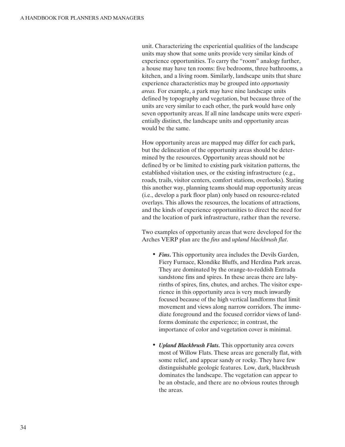unit. Characterizing the experiential qualities of the landscape units may show that some units provide very similar kinds of experience opportunities. To carry the "room" analogy further, a house may have ten rooms: five bedrooms, three bathrooms, a kitchen, and a living room. Similarly, landscape units that share experience characteristics may be grouped into *opportunity areas.* For example, a park may have nine landscape units defined by topography and vegetation, but because three of the units are very similar to each other, the park would have only seven opportunity areas. If all nine landscape units were experientially distinct, the landscape units and opportunity areas would be the same.

How opportunity areas are mapped may differ for each park, but the delineation of the opportunity areas should be determined by the resources. Opportunity areas should not be defined by or be limited to existing park visitation patterns, the established visitation uses, or the existing infrastructure (e.g., roads, trails, visitor centers, comfort stations, overlooks). Stating this another way, planning teams should map opportunity areas (i.e., develop a park floor plan) only based on resource-related overlays. This allows the resources, the locations of attractions, and the kinds of experience opportunities to direct the need for and the location of park infrastructure, rather than the reverse.

Two examples of opportunity areas that were developed for the Arches VERP plan are the *fins* and *upland blackbrush flat*.

- *Fins***.** This opportunity area includes the Devils Garden, Fiery Furnace, Klondike Bluffs, and Herdina Park areas. They are dominated by the orange-to-reddish Entrada sandstone fins and spires. In these areas there are labyrinths of spires, fins, chutes, and arches. The visitor experience in this opportunity area is very much inwardly focused because of the high vertical landforms that limit movement and views along narrow corridors. The immediate foreground and the focused corridor views of landforms dominate the experience; in contrast, the importance of color and vegetation cover is minimal.
- *Upland Blackbrush Flats.* This opportunity area covers most of Willow Flats. These areas are generally flat, with some relief, and appear sandy or rocky. They have few distinguishable geologic features. Low, dark, blackbrush dominates the landscape. The vegetation can appear to be an obstacle, and there are no obvious routes through the areas.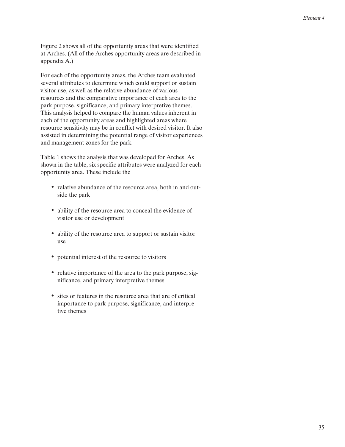Figure 2 shows all of the opportunity areas that were identified at Arches. (All of the Arches opportunity areas are described in appendix A.)

For each of the opportunity areas, the Arches team evaluated several attributes to determine which could support or sustain visitor use, as well as the relative abundance of various resources and the comparative importance of each area to the park purpose, significance, and primary interpretive themes. This analysis helped to compare the human values inherent in each of the opportunity areas and highlighted areas where resource sensitivity may be in conflict with desired visitor. It also assisted in determining the potential range of visitor experiences and management zones for the park.

Table 1 shows the analysis that was developed for Arches. As shown in the table, six specific attributes were analyzed for each opportunity area. These include the

- relative abundance of the resource area, both in and outside the park
- ability of the resource area to conceal the evidence of visitor use or development
- ability of the resource area to support or sustain visitor use
- potential interest of the resource to visitors
- relative importance of the area to the park purpose, significance, and primary interpretive themes
- sites or features in the resource area that are of critical importance to park purpose, significance, and interpretive themes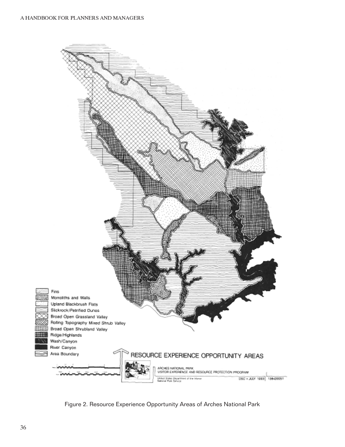

Figure 2. Resource Experience Opportunity Areas of Arches National Park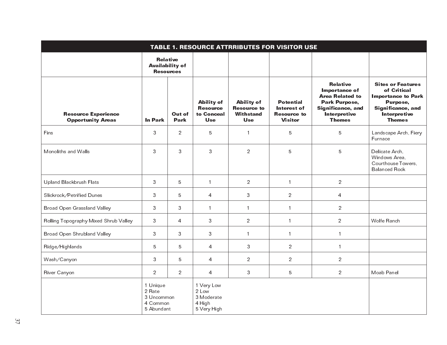| <b>TABLE 1. RESOURCE ATTRRIBUTES FOR VISITOR USE</b>   |                                                            |                |                                                                  |                                                                    |                                                                         |                                                                                                                                   |                                                                                                                                        |  |  |  |  |  |
|--------------------------------------------------------|------------------------------------------------------------|----------------|------------------------------------------------------------------|--------------------------------------------------------------------|-------------------------------------------------------------------------|-----------------------------------------------------------------------------------------------------------------------------------|----------------------------------------------------------------------------------------------------------------------------------------|--|--|--|--|--|
|                                                        | Relative<br><b>Availability of</b><br><b>Resources</b>     |                |                                                                  |                                                                    |                                                                         |                                                                                                                                   |                                                                                                                                        |  |  |  |  |  |
| <b>Resource Experience</b><br><b>Opportunity Areas</b> | In Park                                                    | Out of<br>Park | <b>Ability of</b><br><b>Resource</b><br>to Conceal<br><b>Use</b> | <b>Ability of</b><br><b>Resource to</b><br>Withstand<br><b>Use</b> | <b>Potential</b><br>Interest of<br><b>Resource to</b><br><b>Visitor</b> | <b>Relative</b><br>Importance of<br><b>Area Related to</b><br>Park Purpose,<br>Significance, and<br>Interpretive<br><b>Themes</b> | <b>Sites or Features</b><br>of Critical<br><b>Importance to Park</b><br>Purpose,<br>Significance, and<br>Interpretive<br><b>Themes</b> |  |  |  |  |  |
| Fins                                                   | 3                                                          | $\overline{c}$ | 5                                                                | $\overline{1}$                                                     | 5                                                                       | 5                                                                                                                                 | Landscape Arch, Fiery<br>Furnace                                                                                                       |  |  |  |  |  |
| Monoliths and Walls                                    | 3                                                          | 3              | 3                                                                | $\overline{c}$                                                     | 5                                                                       | 5                                                                                                                                 | Delicate Arch,<br>Windows Area,<br>Courthouse Towers,<br><b>Balanced Rock</b>                                                          |  |  |  |  |  |
| Upland Blackbrush Flats                                | 3                                                          | 5              | $\overline{1}$                                                   | 2                                                                  | $\overline{1}$                                                          | $\overline{2}$                                                                                                                    |                                                                                                                                        |  |  |  |  |  |
| Slickrock/Petrified Dunes                              | 3                                                          | 5              | $\overline{4}$                                                   | 3                                                                  | $\overline{2}$                                                          | $\overline{4}$                                                                                                                    |                                                                                                                                        |  |  |  |  |  |
| <b>Broad Open Grassland Valley</b>                     | 3                                                          | 3              | $\mathbf{1}$                                                     | $\overline{1}$                                                     | $\mathbf{1}$                                                            | $\overline{2}$                                                                                                                    |                                                                                                                                        |  |  |  |  |  |
| Rolling Topography Mixed Shrub Valley                  | 3                                                          | $\overline{4}$ | 3                                                                | $\overline{2}$                                                     | $\overline{1}$                                                          | $\overline{2}$                                                                                                                    | Wolfe Ranch                                                                                                                            |  |  |  |  |  |
| Broad Open Shrubland Valley                            | 3                                                          | 3              | 3                                                                | $\overline{1}$                                                     | $\mathbf{1}$                                                            | $\mathbf{1}$                                                                                                                      |                                                                                                                                        |  |  |  |  |  |
| Ridge/Highlands                                        | 5                                                          | 5              | $\overline{4}$                                                   | 3                                                                  | $\overline{2}$                                                          | $\overline{1}$                                                                                                                    |                                                                                                                                        |  |  |  |  |  |
| Wash/Canyon                                            | 3                                                          | 5              | $\overline{4}$                                                   | $\overline{c}$                                                     | $\overline{c}$                                                          | $\overline{2}$                                                                                                                    |                                                                                                                                        |  |  |  |  |  |
| River Canyon                                           | $\overline{2}$                                             | $\overline{2}$ | $\overline{4}$                                                   | 3                                                                  | 5                                                                       | $\overline{2}$                                                                                                                    | Moab Panel                                                                                                                             |  |  |  |  |  |
|                                                        | 1 Unique<br>2 Rate<br>3 Uncommon<br>4 Common<br>5 Abundant |                | 1 Very Low<br>2 Low<br>3 Moderate<br>4 High<br>5 Very High       |                                                                    |                                                                         |                                                                                                                                   |                                                                                                                                        |  |  |  |  |  |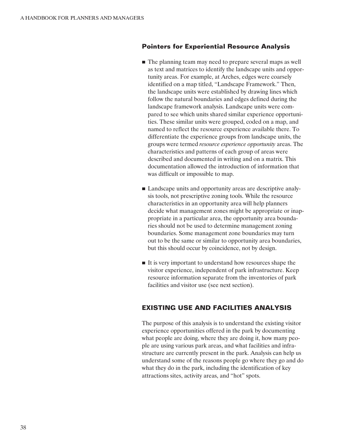#### **Pointers for Experiential Resource Analysis**

- The planning team may need to prepare several maps as well as text and matrices to identify the landscape units and opportunity areas. For example, at Arches, edges were coarsely identified on a map titled, "Landscape Framework." Then, the landscape units were established by drawing lines which follow the natural boundaries and edges defined during the landscape framework analysis. Landscape units were compared to see which units shared similar experience opportunities. These similar units were grouped, coded on a map, and named to reflect the resource experience available there. To differentiate the experience groups from landscape units, the groups were termed *resource experience opportunity* areas. The characteristics and patterns of each group of areas were described and documented in writing and on a matrix. This documentation allowed the introduction of information that was difficult or impossible to map.
- Landscape units and opportunity areas are descriptive analysis tools, not prescriptive zoning tools. While the resource characteristics in an opportunity area will help planners decide what management zones might be appropriate or inappropriate in a particular area, the opportunity area boundaries should not be used to determine management zoning boundaries. Some management zone boundaries may turn out to be the same or similar to opportunity area boundaries, but this should occur by coincidence, not by design.
- It is very important to understand how resources shape the visitor experience, independent of park infrastructure. Keep resource information separate from the inventories of park facilities and visitor use (see next section).

#### **EXISTING USE AND FACILITIES ANALYSIS**

The purpose of this analysis is to understand the existing visitor experience opportunities offered in the park by documenting what people are doing, where they are doing it, how many people are using various park areas, and what facilities and infrastructure are currently present in the park. Analysis can help us understand some of the reasons people go where they go and do what they do in the park, including the identification of key attractions sites, activity areas, and "hot" spots.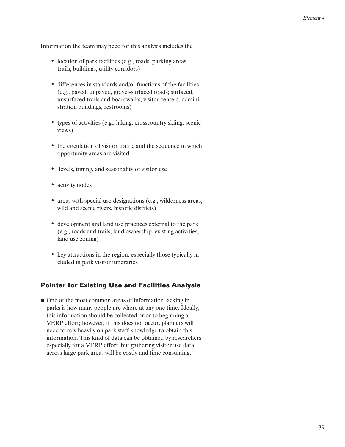Information the team may need for this analysis includes the

- location of park facilities (e.g., roads, parking areas, trails, buildings, utility corridors)
- differences in standards and/or functions of the facilities (e.g., paved, unpaved, gravel-surfaced roads; surfaced, unsurfaced trails and boardwalks; visitor centers, administration buildings, restrooms)
- types of activities (e.g., hiking, crosscountry skiing, scenic views)
- the circulation of visitor traffic and the sequence in which opportunity areas are visited
- levels, timing, and seasonality of visitor use
- activity nodes
- areas with special use designations (e.g., wilderness areas, wild and scenic rivers, historic districts)
- development and land use practices external to the park (e.g., roads and trails, land ownership, existing activities, land use zoning)
- key attractions in the region, especially those typically included in park visitor itineraries

#### **Pointer for Existing Use and Facilities Analysis**

■ One of the most common areas of information lacking in parks is how many people are where at any one time. Ideally, this information should be collected prior to beginning a VERP effort; however, if this does not occur, planners will need to rely heavily on park staff knowledge to obtain this information. This kind of data can be obtained by researchers especially for a VERP effort, but gathering visitor use data across large park areas will be costly and time consuming.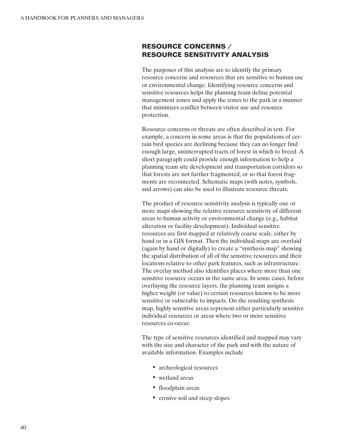# **RESOURCE CONCERNS / RESOURCE SENSITIVITY ANALYSIS**

The purposes of this analysis are to identify the primary resource concerns and resources that are sensitive to human use or environmental change. Identifying resource concerns and sensitive resources helps the planning team define potential management zones and apply the zones to the park in a manner that minimizes conflict between visitor use and resource protection.

Resource concerns or threats are often described in text. For example, a concern in some areas is that the populations of certain bird species are declining because they can no longer find enough large, uninterrupted tracts of forest in which to breed. A short paragraph could provide enough information to help a planning team site development and transportation corridors so that forests are not further fragmented, or so that forest fragments are reconnected. Schematic maps (with notes, symbols, and arrows) can also be used to illustrate resource threats.

The product of resource sensitivity analysis is typically one or more maps showing the relative resource sensitivity of different areas to human activity or environmental change (e.g., habitat alteration or facility development). Individual sensitive resources are first mapped at relatively coarse scale, either by hand or in a GIS format. Then the individual maps are overlaid (again by hand or digitally) to create a "synthesis map" showing the spatial distribution of all of the sensitive resources and their locations relative to other park features, such as infrastructure. The overlay method also identifies places where more than one sensitive resource occurs in the same area. In some cases, before overlaying the resource layers, the planning team assigns a higher weight (or value) to certain resources known to be more sensitive or vulnerable to impacts. On the resulting synthesis map, highly sensitive areas represent either particularly sensitive individual resources or areas where two or more sensitive resources co-occur.

The type of sensitive resources identified and mapped may vary with the size and character of the park and with the nature of available information. Examples include

- archeological resources
- wetland areas
- floodplain areas
- erosive soil and steep slopes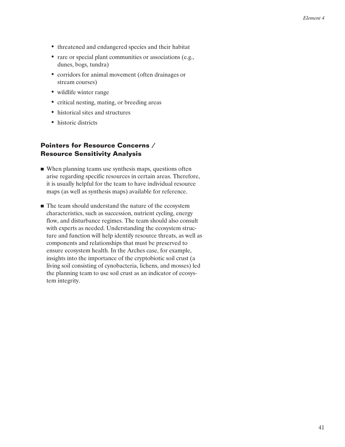- threatened and endangered species and their habitat
- rare or special plant communities or associations (e.g., dunes, bogs, tundra)
- corridors for animal movement (often drainages or stream courses)
- wildlife winter range
- critical nesting, mating, or breeding areas
- historical sites and structures
- historic districts

## **Pointers for Resource Concerns / Resource Sensitivity Analysis**

- When planning teams use synthesis maps, questions often arise regarding specific resources in certain areas. Therefore, it is usually helpful for the team to have individual resource maps (as well as synthesis maps) available for reference.
- The team should understand the nature of the ecosystem characteristics, such as succession, nutrient cycling, energy flow, and disturbance regimes. The team should also consult with experts as needed. Understanding the ecosystem structure and function will help identify resource threats, as well as components and relationships that must be preserved to ensure ecosystem health. In the Arches case, for example, insights into the importance of the cryptobiotic soil crust (a living soil consisting of cynobacteria, lichens, and mosses) led the planning team to use soil crust as an indicator of ecosystem integrity.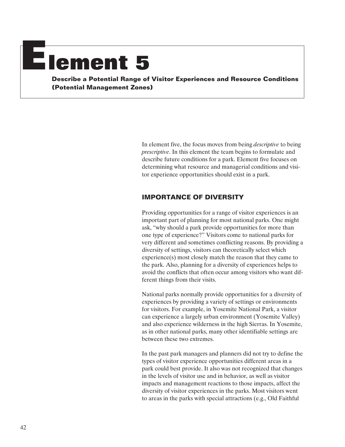# Element <sup>5</sup>

**Describe a Potential Range of Visitor Experiences and Resource Conditions (Potential Management Zones)**

> In element five, the focus moves from being *descriptive* to being *prescriptive*. In this element the team begins to formulate and describe future conditions for a park. Element five focuses on determining what resource and managerial conditions and visitor experience opportunities should exist in a park.

#### **IMPORTANCE OF DIVERSITY**

Providing opportunities for a range of visitor experiences is an important part of planning for most national parks. One might ask, "why should a park provide opportunities for more than one type of experience?" Visitors come to national parks for very different and sometimes conflicting reasons. By providing a diversity of settings, visitors can theoretically select which experience(s) most closely match the reason that they came to the park. Also, planning for a diversity of experiences helps to avoid the conflicts that often occur among visitors who want different things from their visits.

National parks normally provide opportunities for a diversity of experiences by providing a variety of settings or environments for visitors. For example, in Yosemite National Park, a visitor can experience a largely urban environment (Yosemite Valley) and also experience wilderness in the high Sierras. In Yosemite, as in other national parks, many other identifiable settings are between these two extremes.

In the past park managers and planners did not try to define the types of visitor experience opportunities different areas in a park could best provide. It also was not recognized that changes in the levels of visitor use and in behavior, as well as visitor impacts and management reactions to those impacts, affect the diversity of visitor experiences in the parks. Most visitors went to areas in the parks with special attractions (e.g., Old Faithful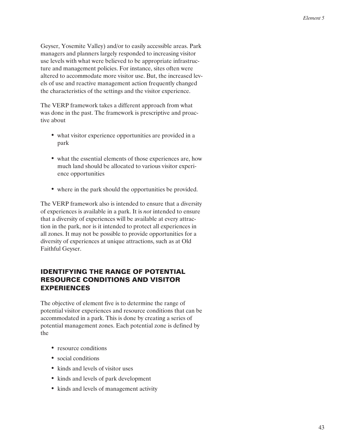Geyser, Yosemite Valley) and/or to easily accessible areas. Park managers and planners largely responded to increasing visitor use levels with what were believed to be appropriate infrastructure and management policies. For instance, sites often were altered to accommodate more visitor use. But, the increased levels of use and reactive management action frequently changed the characteristics of the settings and the visitor experience.

The VERP framework takes a different approach from what was done in the past. The framework is prescriptive and proactive about

- what visitor experience opportunities are provided in a park
- what the essential elements of those experiences are, how much land should be allocated to various visitor experience opportunities
- where in the park should the opportunities be provided.

The VERP framework also is intended to ensure that a diversity of experiences is available in a park. It is *not* intended to ensure that a diversity of experiences will be available at every attraction in the park, nor is it intended to protect all experiences in all zones. It may not be possible to provide opportunities for a diversity of experiences at unique attractions, such as at Old Faithful Geyser.

# **IDENTIFYING THE RANGE OF POTENTIAL RESOURCE CONDITIONS AND VISITOR EXPERIENCES**

The objective of element five is to determine the range of potential visitor experiences and resource conditions that can be accommodated in a park. This is done by creating a series of potential management zones. Each potential zone is defined by the

- resource conditions
- social conditions
- kinds and levels of visitor uses
- kinds and levels of park development
- kinds and levels of management activity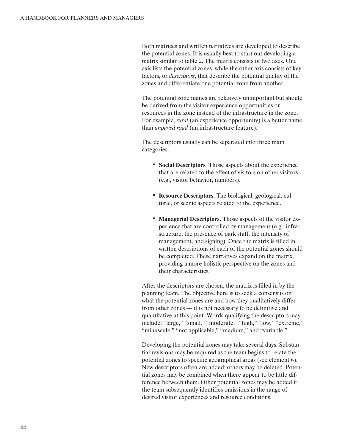Both matrices and written narratives are developed to describe the potential zones. It is usually best to start out developing a matrix similar to table 2. The matrix consists of two axes. One axis lists the potential zones, while the other axis consists of key factors, or *descriptors*, that describe the potential quality of the zones and differentiate one potential zone from another.

The potential zone names are relatively unimportant but should be derived from the visitor experience opportunities or resources in the zone instead of the infrastructure in the zone. For example, *rural* (an experience opportunity) is a better name than *unpaved road* (an infrastructure feature).

The descriptors usually can be separated into three main categories.

- **Social Descriptors***.* Those aspects about the experience that are related to the effect of visitors on other visitors (e.g., visitor behavior, numbers).
- **Resource Descriptors.** The biological, geological, cultural, or scenic aspects related to the experience.
- **Managerial Descriptors.** Those aspects of the visitor experience that are controlled by management (e.g., infrastructure, the presence of park staff, the intensity of management, and signing). Once the matrix is filled in, written descriptions of each of the potential zones should be completed. These narratives expand on the matrix, providing a more holistic perspective on the zones and their characteristics.

After the descriptors are chosen, the matrix is filled in by the planning team. The objective here is to seek a consensus on what the potential zones are and how they qualitatively differ from other zones — it is not necessary to be definitive and quantitative at this point. Words qualifying the descriptors may include: "large," "small," "moderate," "high," "low," "extreme," "minuscule," "not applicable," "medium," and "variable."

Developing the potential zones may take several days. Substantial revisions may be required as the team begins to relate the potential zones to specific geographical areas (see element 6). New descriptors often are added; others may be deleted. Potential zones may be combined when there appear to be little difference between them. Other potential zones may be added if the team subsequently identifies omissions in the range of desired visitor experiences and resource conditions.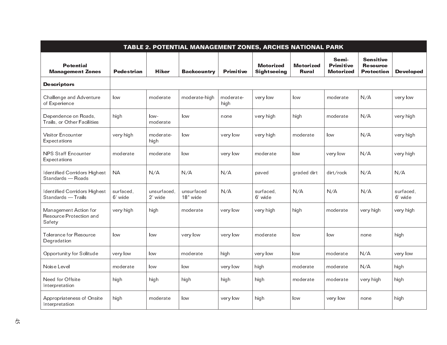| TABLE 2. POTENTIAL MANAGEMENT ZONES, ARCHES NATIONAL PARK  |                      |                        |                        |                   |                                        |                                  |                                               |                                                          |                      |  |  |
|------------------------------------------------------------|----------------------|------------------------|------------------------|-------------------|----------------------------------------|----------------------------------|-----------------------------------------------|----------------------------------------------------------|----------------------|--|--|
| <b>Potential</b><br><b>Management Zones</b>                | <b>Pedestrian</b>    | <b>Hiker</b>           | <b>Backcountry</b>     | <b>Primitive</b>  | <b>Motorized</b><br><b>Sightseeing</b> | <b>Motorized</b><br><b>Rural</b> | Semi-<br><b>Primitive</b><br><b>Motorized</b> | <b>Sensitive</b><br><b>Resource</b><br><b>Protection</b> | <b>Developed</b>     |  |  |
| <b>Descriptors</b>                                         |                      |                        |                        |                   |                                        |                                  |                                               |                                                          |                      |  |  |
| Challenge and Adventure<br>of Experience                   | low                  | moderate               | moderate high          | moderate-<br>high | very low                               | low                              | moderate                                      | N/A                                                      | very low             |  |  |
| Dependence on Roads,<br>Trails, or Other Facilities        | high                 | low-<br>moderate       | low                    | none              | very high                              | high                             | moderate                                      | N/A                                                      | very high            |  |  |
| Visitor Encounter<br>Expectations                          | very high            | moderate-<br>high      | low                    | very low          | very high                              | moderate                         | low                                           | N/A                                                      | very high            |  |  |
| <b>NPS Staff Encounter</b><br>Expectations                 | moderate             | moderate               | low                    | very low          | moderate                               | low                              | very low                                      | N/A                                                      | very high            |  |  |
| <b>Identified Corridors Highest</b><br>Standards - Roads   | <b>NA</b>            | N/A                    | N/A                    | N/A               | paved                                  | graded dirt                      | dirt/rock                                     | N/A                                                      | N/A                  |  |  |
| <b>Identified Corridors Highest</b><br>Standards - Trails  | surfaced,<br>6' wide | unsurfaced,<br>2' wide | unsurfaced<br>18" wide | N/A               | surfaced.<br>6' wide                   | N/A                              | N/A                                           | N/A                                                      | surfaced,<br>6' wide |  |  |
| Management Action for<br>Resource Protection and<br>Safety | very high            | high                   | moderate               | very low          | very high                              | high                             | moderate                                      | very high                                                | very high            |  |  |
| Tolerance for Resource<br>Degradation                      | low                  | low                    | very low               | very low          | moderate                               | low                              | low                                           | none                                                     | high                 |  |  |
| Opportunity for Solitude                                   | very low             | low                    | moderate               | high              | very low                               | low                              | moderate                                      | N/A                                                      | very low             |  |  |
| Noise Level                                                | moderate             | low                    | low                    | very low          | high                                   | moderate                         | moderate                                      | N/A                                                      | high                 |  |  |
| Need for Offsite<br>Interpretation                         | high                 | high                   | high                   | high              | high                                   | moderate                         | moderate                                      | very high                                                | high                 |  |  |
| Appropriateness of Onsite<br>Interpretation                | high                 | moderate               | low                    | very low          | high                                   | low                              | very low                                      | none                                                     | high                 |  |  |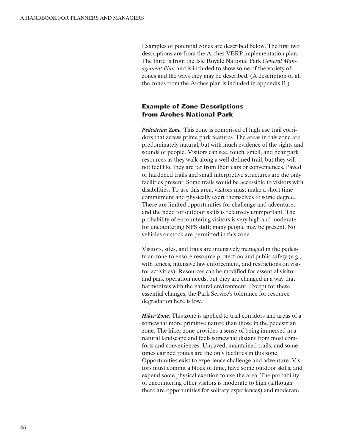Examples of potential zones are described below. The first two descriptions are from the Arches VERP implementation plan. The third is from the Isle Royale National Park *General Management Plan* and is included to show some of the variety of zones and the ways they may be described. (A description of all the zones from the Arches plan is included in appendix B.)

#### **Example of Zone Descriptions from Arches National Park**

*Pedestrian Zone.* This zone is comprised of high use trail corridors that access prime park features. The areas in this zone are predominately natural, but with much evidence of the sights and sounds of people. Visitors can see, touch, smell, and hear park resources as they walk along a well-defined trail, but they will not feel like they are far from their cars or conveniences. Paved or hardened trails and small interpretive structures are the only facilities present. Some trails would be accessible to visitors with disabilities. To use this area, visitors must make a short time commitment and physically exert themselves to some degree. There are limited opportunities for challenge and adventure, and the need for outdoor skills is relatively unimportant. The probability of encountering visitors is very high and moderate for encountering NPS staff; many people may be present. No vehicles or stock are permitted in this zone.

Visitors, sites, and trails are intensively managed in the pedestrian zone to ensure resource protection and public safety (e.g., with fences, intensive law enforcement, and restrictions on visitor activities). Resources can be modified for essential visitor and park operation needs, but they are changed in a way that harmonizes with the natural environment. Except for these essential changes, the Park Service's tolerance for resource degradation here is low.

*Hiker Zone.* This zone is applied to trail corridors and areas of a somewhat more primitive nature than those in the pedestrian zone. The hiker zone provides a sense of being immersed in a natural landscape and feels somewhat distant from most comforts and conveniences. Unpaved, maintained trails, and sometimes cairned routes are the only facilities in this zone. Opportunities exist to experience challenge and adventure. Visitors must commit a block of time, have some outdoor skills, and expend some physical exertion to use the area. The probability of encountering other visitors is moderate to high (although there are opportunities for solitary experiences) and moderate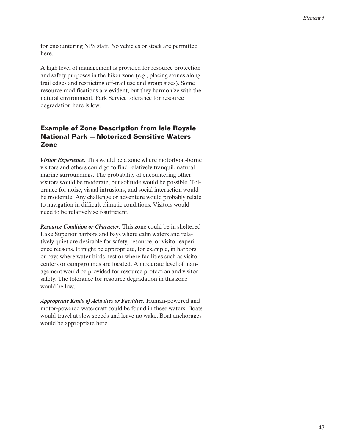for encountering NPS staff. No vehicles or stock are permitted here.

A high level of management is provided for resource protection and safety purposes in the hiker zone (e.g., placing stones along trail edges and restricting off-trail use and group sizes). Some resource modifications are evident, but they harmonize with the natural environment. Park Service tolerance for resource degradation here is low.

# **Example of Zone Description from Isle Royale National Park — Motorized Sensitive Waters Zone**

*Visitor Experience.* This would be a zone where motorboat-borne visitors and others could go to find relatively tranquil, natural marine surroundings. The probability of encountering other visitors would be moderate, but solitude would be possible. Tolerance for noise, visual intrusions, and social interaction would be moderate. Any challenge or adventure would probably relate to navigation in difficult climatic conditions. Visitors would need to be relatively self-sufficient.

*Resource Condition or Character.* This zone could be in sheltered Lake Superior harbors and bays where calm waters and relatively quiet are desirable for safety, resource, or visitor experience reasons. It might be appropriate, for example, in harbors or bays where water birds nest or where facilities such as visitor centers or campgrounds are located. A moderate level of management would be provided for resource protection and visitor safety. The tolerance for resource degradation in this zone would be low.

*Appropriate Kinds of Activities or Facilities.* Human-powered and motor-powered watercraft could be found in these waters. Boats would travel at slow speeds and leave no wake. Boat anchorages would be appropriate here.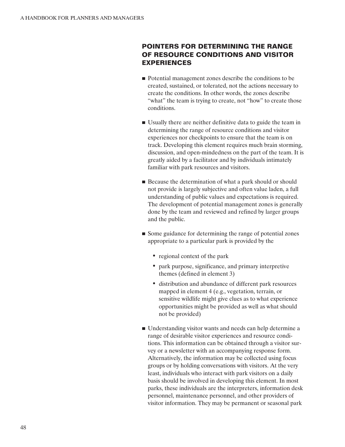## **POINTERS FOR DETERMINING THE RANGE OF RESOURCE CONDITIONS AND VISITOR EXPERIENCES**

- Potential management zones describe the conditions to be created, sustained, or tolerated, not the actions necessary to create the conditions. In other words, the zones describe "what" the team is trying to create, not "how" to create those conditions.
- � Usually there are neither definitive data to guide the team in determining the range of resource conditions and visitor experiences nor checkpoints to ensure that the team is on track. Developing this element requires much brain storming, discussion, and open-mindedness on the part of the team. It is greatly aided by a facilitator and by individuals intimately familiar with park resources and visitors.
- Because the determination of what a park should or should not provide is largely subjective and often value laden, a full understanding of public values and expectations is required. The development of potential management zones is generally done by the team and reviewed and refined by larger groups and the public.
- Some guidance for determining the range of potential zones appropriate to a particular park is provided by the
	- regional context of the park
	- park purpose, significance, and primary interpretive themes (defined in element 3)
	- distribution and abundance of different park resources mapped in element 4 (e.g., vegetation, terrain, or sensitive wildlife might give clues as to what experience opportunities might be provided as well as what should not be provided)
- � Understanding visitor wants and needs can help determine a range of desirable visitor experiences and resource conditions. This information can be obtained through a visitor survey or a newsletter with an accompanying response form. Alternatively, the information may be collected using focus groups or by holding conversations with visitors. At the very least, individuals who interact with park visitors on a daily basis should be involved in developing this element. In most parks, these individuals are the interpreters, information desk personnel, maintenance personnel, and other providers of visitor information. They may be permanent or seasonal park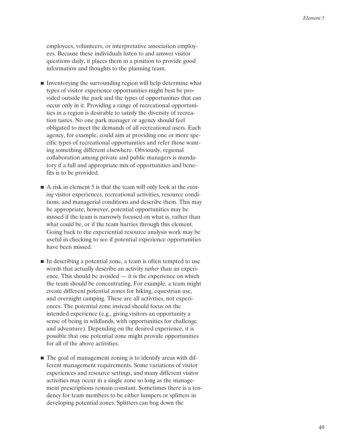employees, volunteers, or interpretative association employees. Because these individuals listen to and answer visitor questions daily, it places them in a position to provide good information and thoughts to the planning team.

- **Inventorying the surrounding region will help determine what** types of visitor experience opportunities might best be provided outside the park and the types of opportunities that can occur only in it. Providing a range of recreational opportunities in a region is desirable to satisfy the diversity of recreation tastes. No one park manager or agency should feel obligated to meet the demands of all recreational users. Each agency, for example, could aim at providing one or more specific types of recreational opportunities and refer those wanting something different elsewhere. Obviously, regional collaboration among private and public managers is mandatory if a full and appropriate mix of opportunities and benefits is to be provided.
- � A risk in element 5 is that the team will only look at the *existing* visitor experiences, recreational activities, resource conditions, and managerial conditions and describe them. This may be appropriate; however, potential opportunities may be missed if the team is narrowly focused on what is, rather than what could be, or if the team hurries through this element. Going back to the experiential resource analysis work may be useful in checking to see if potential experience opportunities have been missed.
- � In describing a potential zone, a team is often tempted to use words that actually describe an activity *rather* than an experience. This should be avoided — it is the experience on which the team should be concentrating. For example, a team might create different potential zones for hiking, equestrian use, and overnight camping. These are all activities, not experiences. The potential zone instead should focus on the intended experience (e.g., giving visitors an opportunity a sense of being in wildlands, with opportunities for challenge and adventure). Depending on the desired experience, it is possible that one potential zone might provide opportunities for all of the above activities.
- The goal of management zoning is to identify areas with different management requirements. Some variations of visitor experiences and resource settings, and many different visitor activities may occur in a single zone so long as the management prescriptions remain constant. Sometimes there is a tendency for team members to be either lumpers or splitters in developing potential zones. Splitters can bog down the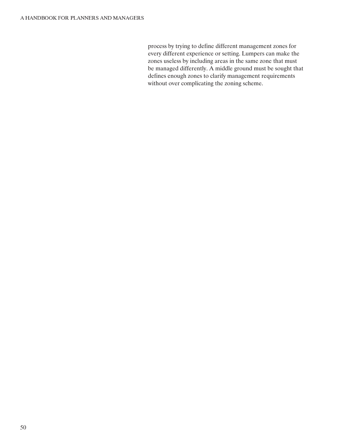process by trying to define different management zones for every different experience or setting. Lumpers can make the zones useless by including areas in the same zone that must be managed differently. A middle ground must be sought that defines enough zones to clarify management requirements without over complicating the zoning scheme.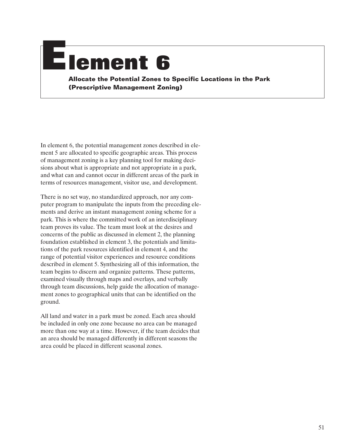# Element <sup>6</sup>

**Allocate the Potential Zones to Specific Locations in the Park (Prescriptive Management Zoning)**

In element 6, the potential management zones described in element 5 are allocated to specific geographic areas. This process of management zoning is a key planning tool for making decisions about what is appropriate and not appropriate in a park, and what can and cannot occur in different areas of the park in terms of resources management, visitor use, and development.

There is no set way, no standardized approach, nor any computer program to manipulate the inputs from the preceding elements and derive an instant management zoning scheme for a park. This is where the committed work of an interdisciplinary team proves its value. The team must look at the desires and concerns of the public as discussed in element 2, the planning foundation established in element 3, the potentials and limitations of the park resources identified in element 4, and the range of potential visitor experiences and resource conditions described in element 5. Synthesizing all of this information, the team begins to discern and organize patterns. These patterns, examined visually through maps and overlays, and verbally through team discussions, help guide the allocation of management zones to geographical units that can be identified on the ground.

All land and water in a park must be zoned. Each area should be included in only one zone because no area can be managed more than one way at a time. However, if the team decides that an area should be managed differently in different seasons the area could be placed in different seasonal zones.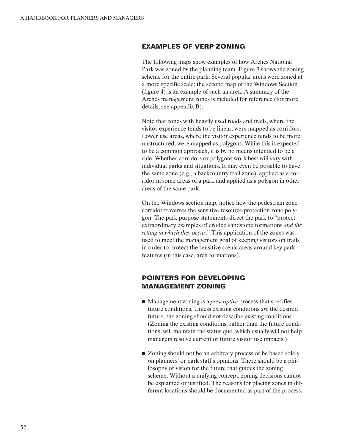#### **EXAMPLES OF VERP ZONING**

The following maps show examples of how Arches National Park was zoned by the planning team. Figure 3 shows the zoning scheme for the entire park. Several popular areas were zoned at a more specific scale; the second map of the Windows Section (figure 4) is an example of such an area. A summary of the Arches management zones is included for reference (for more details, see appendix B).

Note that zones with heavily used roads and trails, where the visitor experience tends to be linear, were mapped as corridors. Lower use areas, where the visitor experience tends to be more unstructured, were mapped as polygons. While this is expected to be a common approach, it is by no means intended to be a rule. Whether corridors or polygons work best will vary with individual parks and situations. It may even be possible to have the same zone (e.g., a backcountry trail zone), applied as a corridor in some areas of a park and applied as a polygon in other areas of the same park.

On the Windows section map, notice how the pedestrian zone corridor traverses the sensitive resource protection zone polygon. The park purpose statements direct the park to "protect extraordinary examples of eroded sandstone formations *and the setting in which they occur*." This application of the zones was used to meet the management goal of keeping visitors on trails in order to protect the sensitive scenic areas around key park features (in this case, arch formations).

### **POINTERS FOR DEVELOPING MANAGEMENT ZONING**

- Management zoning is a *prescriptive* process that specifies future conditions. Unless existing conditions *are* the desired future, the zoning should not describe existing conditions. (Zoning the existing conditions, rather than the future conditions, will maintain the status quo, which usually will not help managers resolve current or future visitor use impacts.)
- Zoning should not be an arbitrary process or be based solely on planners' or park staff's opinions. There should be a philosophy or vision for the future that guides the zoning scheme. Without a unifying concept, zoning decisions cannot be explained or justified. The reasons for placing zones in different locations should be documented as part of the process.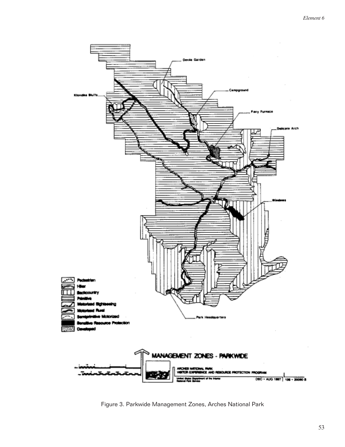

Figure 3. Parkwide Management Zones, Arches National Park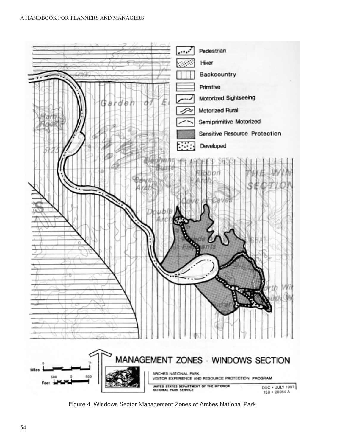

Figure 4. Windows Sector Management Zones of Arches National Park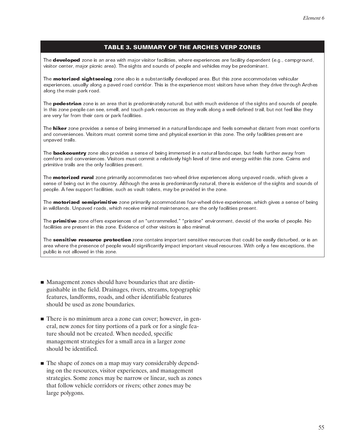#### **TABLE 3. SUMMARY OF THE ARCHES VERP ZONES**

The developed zone is an area with major visitor facilities, where experiences are facility dependent (e.g., campground, visitor center, major picnic area). The sights and sounds of people and vehicles may be predominant.

The **motorized sightseeing** zone also is a substantially developed area. But this zone accommodates vehicular experiences, usually along a paved road corridor. This is the experience most visitors have when they drive through Arches along the main park road.

The **pedestrian** zone is an area that is predominately natural, but with much evidence of the sights and sounds of people. In this zone people can see, smell, and touch park resources as they walk along a well-defined trail, but not feel like they are very far from their cars or park facilities.

The hiker zone provides a sense of being immersed in a natural landscape and feels somewhat distant from most comforts and conveniences. Visitors must commit some time and physical exertion in this zone. The only facilities present are unpaved trails.

The **backcountry** zone also provides a sense of being immersed in a natural landscape, but feels further away from comforts and conveniences. Visitors must commit a relatively high level of time and energy within this zone. Cairns and primitive trails are the only facilities present.

The **motorized rural** zone primarily accommodates two-wheel drive experiences along unpaved roads, which gives a sense of being out in the country. Although the area is predominantly natural, there is evidence of the sights and sounds of people. A few support facilities, such as vault toilets, may be provided in the zone.

The motorized semiprimitive zone primarily accommodates four-wheel drive experiences, which gives a sense of being in wildlands. Unpaved roads, which receive minimal maintenance, are the only facilities present.

The **primitive** zone offers experiences of an "untrammeled," "pristine" environment, devoid of the works of people. No facilities are present in this zone. Evidence of other visitors is also minimal.

The sensitive resource protection zone contains important sensitive resources that could be easily disturbed, or is an area where the presence of people would significantly impact important visual resources. With only a few exceptions, the public is not allowed in this zone.

- Management zones should have boundaries that are distinguishable in the field. Drainages, rivers, streams, topographic features, landforms, roads, and other identifiable features should be used as zone boundaries.
- There is no minimum area a zone can cover; however, in general, new zones for tiny portions of a park or for a single feature should not be created. When needed, specific management strategies for a small area in a larger zone should be identified.
- The shape of zones on a map may vary considerably depending on the resources, visitor experiences, and management strategies. Some zones may be narrow or linear, such as zones that follow vehicle corridors or rivers; other zones may be large polygons.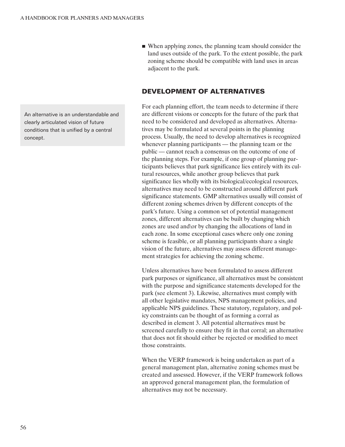� When applying zones, the planning team should consider the land uses outside of the park. To the extent possible, the park zoning scheme should be compatible with land uses in areas adjacent to the park.

#### **DEVELOPMENT OF ALTERNATIVES**

For each planning effort, the team needs to determine if there are different visions or concepts for the future of the park that need to be considered and developed as alternatives. Alternatives may be formulated at several points in the planning process. Usually, the need to develop alternatives is recognized whenever planning participants — the planning team or the public — cannot reach a consensus on the outcome of one of the planning steps. For example, if one group of planning participants believes that park significance lies entirely with its cultural resources, while another group believes that park significance lies wholly with its biological/ecological resources, alternatives may need to be constructed around different park significance statements. GMP alternatives usually will consist of different zoning schemes driven by different concepts of the park's future. Using a common set of potential management zones, different alternatives can be built by changing which zones are used and\or by changing the allocations of land in each zone. In some exceptional cases where only one zoning scheme is feasible, or all planning participants share a single vision of the future, alternatives may assess different management strategies for achieving the zoning scheme.

Unless alternatives have been formulated to assess different park purposes or significance, all alternatives must be consistent with the purpose and significance statements developed for the park (see element 3). Likewise, alternatives must comply with all other legislative mandates, NPS management policies, and applicable NPS guidelines. These statutory, regulatory, and policy constraints can be thought of as forming a corral as described in element 3. All potential alternatives must be screened carefully to ensure they fit in that corral; an alternative that does not fit should either be rejected or modified to meet those constraints.

When the VERP framework is being undertaken as part of a general management plan, alternative zoning schemes must be created and assessed. However, if the VERP framework follows an approved general management plan, the formulation of alternatives may not be necessary.

*An alternative is an understandable and clearly articulated vision of future conditions that is unified by a central concept.*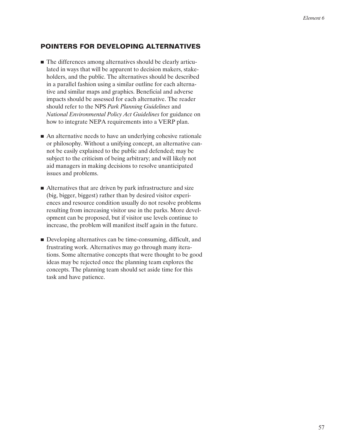# **POINTERS FOR DEVELOPING ALTERNATIVES**

- The differences among alternatives should be clearly articulated in ways that will be apparent to decision makers, stakeholders, and the public. The alternatives should be described in a parallel fashion using a similar outline for each alternative and similar maps and graphics. Beneficial and adverse impacts should be assessed for each alternative. The reader should refer to the NPS *Park Planning Guidelines* and *National Environmental Policy Act Guidelines* for guidance on how to integrate NEPA requirements into a VERP plan.
- An alternative needs to have an underlying cohesive rationale or philosophy. Without a unifying concept, an alternative cannot be easily explained to the public and defended; may be subject to the criticism of being arbitrary; and will likely not aid managers in making decisions to resolve unanticipated issues and problems.
- Alternatives that are driven by park infrastructure and size (big, bigger, biggest) rather than by desired visitor experiences and resource condition usually do not resolve problems resulting from increasing visitor use in the parks. More development can be proposed, but if visitor use levels continue to increase, the problem will manifest itself again in the future.
- Developing alternatives can be time-consuming, difficult, and frustrating work. Alternatives may go through many iterations. Some alternative concepts that were thought to be good ideas may be rejected once the planning team explores the concepts. The planning team should set aside time for this task and have patience.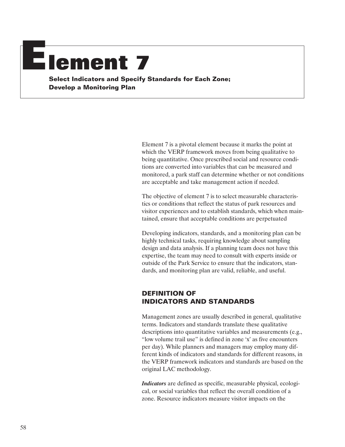# Element <sup>7</sup>

**Select Indicators and Specify Standards for Each Zone; Develop a Monitoring Plan**

> Element 7 is a pivotal element because it marks the point at which the VERP framework moves from being qualitative to being quantitative. Once prescribed social and resource conditions are converted into variables that can be measured and monitored, a park staff can determine whether or not conditions are acceptable and take management action if needed.

> The objective of element 7 is to select measurable characteristics or conditions that reflect the status of park resources and visitor experiences and to establish standards, which when maintained, ensure that acceptable conditions are perpetuated

Developing indicators, standards, and a monitoring plan can be highly technical tasks, requiring knowledge about sampling design and data analysis. If a planning team does not have this expertise, the team may need to consult with experts inside or outside of the Park Service to ensure that the indicators, standards, and monitoring plan are valid, reliable, and useful.

# **DEFINITION OF INDICATORS AND STANDARDS**

Management zones are usually described in general, qualitative terms. Indicators and standards translate these qualitative descriptions into quantitative variables and measurements (e.g., "low volume trail use" is defined in zone 'x' as five encounters per day). While planners and managers may employ many different kinds of indicators and standards for different reasons, in the VERP framework indicators and standards are based on the original LAC methodology.

*Indicators* are defined as specific, measurable physical, ecological, or social variables that reflect the overall condition of a zone. Resource indicators measure visitor impacts on the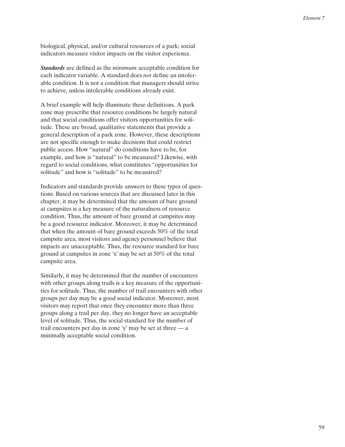biological, physical, and/or cultural resources of a park; social indicators measure visitor impacts on the visitor experience.

*Standards* are defined as the *minimum* acceptable condition for each indicator variable. A standard does *not* define an intolerable condition. It is not a condition that managers should strive to achieve, unless intolerable conditions already exist.

A brief example will help illuminate these definitions. A park zone may prescribe that resource conditions be largely natural and that social conditions offer visitors opportunities for solitude. These are broad, qualitative statements that provide a general description of a park zone. However, these descriptions are not specific enough to make decisions that could restrict public access. How "natural" do conditions have to be, for example, and how is "natural" to be measured? Likewise, with regard to social conditions, what constitutes "opportunities for solitude" and how is "solitude" to be measured?

Indicators and standards provide answers to these types of questions. Based on various sources that are discussed later in this chapter, it may be determined that the amount of bare ground at campsites is a key measure of the naturalness of resource condition. Thus, the amount of bare ground at campsites may be a good resource indicator. Moreover, it may be determined that when the amount of bare ground exceeds 50% of the total campsite area, most visitors and agency personnel believe that impacts are unacceptable. Thus, the resource standard for bare ground at campsites in zone 'x' may be set at 50% of the total campsite area.

Similarly, it may be determined that the number of encounters with other groups along trails is a key measure of the opportunities for solitude. Thus, the number of trail encounters with other groups per day may be a good social indicator. Moreover, most visitors may report that once they encounter more than three groups along a trail per day, they no longer have an acceptable level of solitude. Thus, the social standard for the number of trail encounters per day in zone 'y' may be set at three — a minimally acceptable social condition.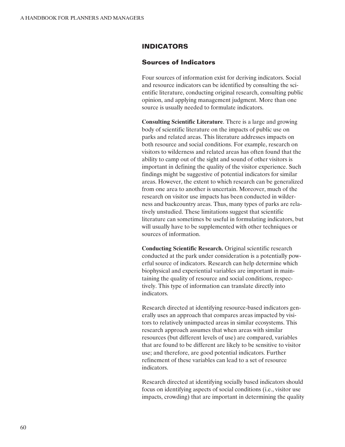#### **INDICATORS**

#### **Sources of Indicators**

Four sources of information exist for deriving indicators. Social and resource indicators can be identified by consulting the scientific literature, conducting original research, consulting public opinion, and applying management judgment. More than one source is usually needed to formulate indicators.

**Consulting Scientific Literature**. There is a large and growing body of scientific literature on the impacts of public use on parks and related areas. This literature addresses impacts on both resource and social conditions. For example, research on visitors to wilderness and related areas has often found that the ability to camp out of the sight and sound of other visitors is important in defining the quality of the visitor experience. Such findings might be suggestive of potential indicators for similar areas. However, the extent to which research can be generalized from one area to another is uncertain. Moreover, much of the research on visitor use impacts has been conducted in wilderness and backcountry areas. Thus, many types of parks are relatively unstudied. These limitations suggest that scientific literature can sometimes be useful in formulating indicators, but will usually have to be supplemented with other techniques or sources of information.

**Conducting Scientific Research.** Original scientific research conducted at the park under consideration is a potentially powerful source of indicators. Research can help determine which biophysical and experiential variables are important in maintaining the quality of resource and social conditions, respectively. This type of information can translate directly into indicators.

Research directed at identifying resource-based indicators generally uses an approach that compares areas impacted by visitors to relatively unimpacted areas in similar ecosystems. This research approach assumes that when areas with similar resources (but different levels of use) are compared, variables that are found to be different are likely to be sensitive to visitor use; and therefore, are good potential indicators. Further refinement of these variables can lead to a set of resource indicators.

Research directed at identifying socially based indicators should focus on identifying aspects of social conditions (i.e., visitor use impacts, crowding) that are important in determining the quality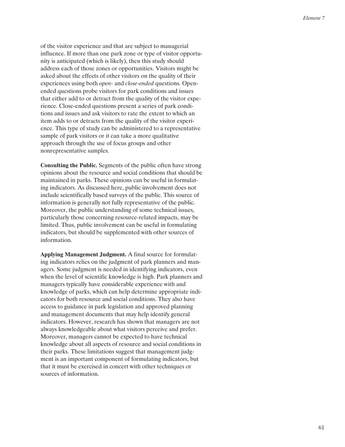of the visitor experience and that are subject to managerial influence. If more than one park zone or type of visitor opportunity is anticipated (which is likely), then this study should address each of those zones or opportunities. Visitors might be asked about the effects of other visitors on the quality of their experiences using both *open-* and *close-ended* questions. Openended questions probe visitors for park conditions and issues that either add to or detract from the quality of the visitor experience. Close-ended questions present a series of park conditions and issues and ask visitors to rate the extent to which an item adds to or detracts from the quality of the visitor experience. This type of study can be administered to a representative sample of park visitors or it can take a more qualitative approach through the use of focus groups and other nonrepresentative samples.

**Consulting the Public.** Segments of the public often have strong opinions about the resource and social conditions that should be maintained in parks. These opinions can be useful in formulating indicators. As discussed here, public involvement does not include scientifically based surveys of the public. This source of information is generally not fully representative of the public. Moreover, the public understanding of some technical issues, particularly those concerning resource-related impacts, may be limited. Thus, public involvement can be useful in formulating indicators, but should be supplemented with other sources of information.

**Applying Management Judgment.** A final source for formulating indicators relies on the judgment of park planners and managers. Some judgment is needed in identifying indicators, even when the level of scientific knowledge is high. Park planners and managers typically have considerable experience with and knowledge of parks, which can help determine appropriate indicators for both resource and social conditions. They also have access to guidance in park legislation and approved planning and management documents that may help identify general indicators. However, research has shown that managers are not always knowledgeable about what visitors perceive and prefer. Moreover, managers cannot be expected to have technical knowledge about all aspects of resource and social conditions in their parks. These limitations suggest that management judgment is an important component of formulating indicators, but that it must be exercised in concert with other techniques or sources of information.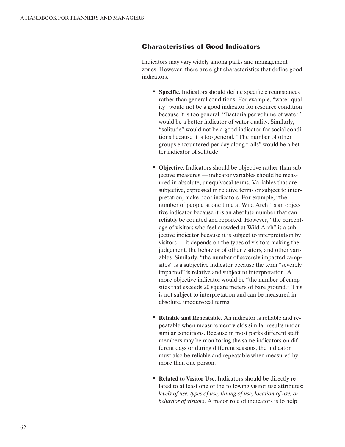#### **Characteristics of Good Indicators**

Indicators may vary widely among parks and management zones. However, there are eight characteristics that define good indicators.

- **Specific.** Indicators should define specific circumstances rather than general conditions. For example, "water quality" would not be a good indicator for resource condition because it is too general. "Bacteria per volume of water" would be a better indicator of water quality. Similarly, "solitude" would not be a good indicator for social conditions because it is too general. "The number of other groups encountered per day along trails" would be a better indicator of solitude.
- **Objective.** Indicators should be objective rather than subjective measures — indicator variables should be measured in absolute, unequivocal terms. Variables that are subjective, expressed in relative terms or subject to interpretation, make poor indicators. For example, "the number of people at one time at Wild Arch" is an objective indicator because it is an absolute number that can reliably be counted and reported. However, "the percentage of visitors who feel crowded at Wild Arch" is a subjective indicator because it is subject to interpretation by visitors — it depends on the types of visitors making the judgement, the behavior of other visitors, and other variables. Similarly, "the number of severely impacted campsites" is a subjective indicator because the term "severely impacted" is relative and subject to interpretation. A more objective indicator would be "the number of campsites that exceeds 20 square meters of bare ground." This is not subject to interpretation and can be measured in absolute, unequivocal terms.
- **Reliable and Repeatable.** An indicator is reliable and repeatable when measurement yields similar results under similar conditions. Because in most parks different staff members may be monitoring the same indicators on different days or during different seasons, the indicator must also be reliable and repeatable when measured by more than one person.
- **Related to Visitor Use.** Indicators should be directly related to at least one of the following visitor use attributes: *levels of use, types of use, timing of use, location of use, or behavior of visitors*. A major role of indicators is to help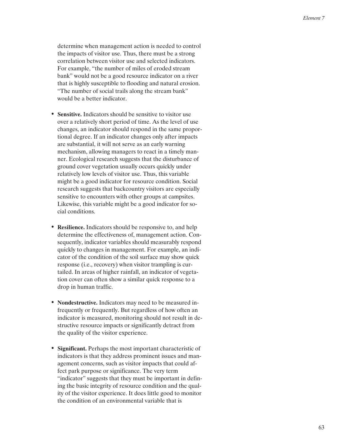determine when management action is needed to control the impacts of visitor use. Thus, there must be a strong correlation between visitor use and selected indicators. For example, "the number of miles of eroded stream bank" would not be a good resource indicator on a river that is highly susceptible to flooding and natural erosion. "The number of social trails along the stream bank" would be a better indicator.

- **Sensitive.** Indicators should be sensitive to visitor use over a relatively short period of time. As the level of use changes, an indicator should respond in the same proportional degree. If an indicator changes only after impacts are substantial, it will not serve as an early warning mechanism, allowing managers to react in a timely manner. Ecological research suggests that the disturbance of ground cover vegetation usually occurs quickly under relatively low levels of visitor use. Thus, this variable might be a good indicator for resource condition. Social research suggests that backcountry visitors are especially sensitive to encounters with other groups at campsites. Likewise, this variable might be a good indicator for social conditions.
- **Resilience.** Indicators should be responsive to, and help determine the effectiveness of, management action. Consequently, indicator variables should measurably respond quickly to changes in management. For example, an indicator of the condition of the soil surface may show quick response (i.e., recovery) when visitor trampling is curtailed. In areas of higher rainfall, an indicator of vegetation cover can often show a similar quick response to a drop in human traffic.
- **Nondestructive.** Indicators may need to be measured infrequently or frequently. But regardless of how often an indicator is measured, monitoring should not result in destructive resource impacts or significantly detract from the quality of the visitor experience.
- **Significant.** Perhaps the most important characteristic of indicators is that they address prominent issues and management concerns, such as visitor impacts that could affect park purpose or significance. The very term "indicator" suggests that they must be important in defining the basic integrity of resource condition and the quality of the visitor experience. It does little good to monitor the condition of an environmental variable that is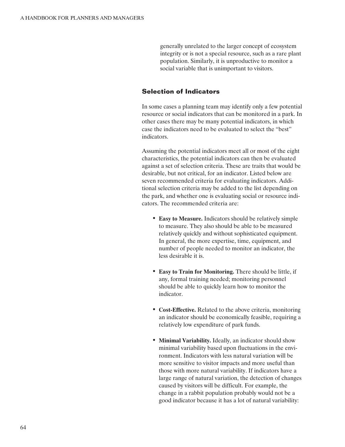generally unrelated to the larger concept of ecosystem integrity or is not a special resource, such as a rare plant population. Similarly, it is unproductive to monitor a social variable that is unimportant to visitors.

#### **Selection of Indicators**

In some cases a planning team may identify only a few potential resource or social indicators that can be monitored in a park. In other cases there may be many potential indicators, in which case the indicators need to be evaluated to select the "best" indicators.

Assuming the potential indicators meet all or most of the eight characteristics, the potential indicators can then be evaluated against a set of selection criteria. These are traits that would be desirable, but not critical, for an indicator. Listed below are seven recommended criteria for evaluating indicators. Additional selection criteria may be added to the list depending on the park, and whether one is evaluating social or resource indicators. The recommended criteria are:

- **Easy to Measure.** Indicators should be relatively simple to measure. They also should be able to be measured relatively quickly and without sophisticated equipment. In general, the more expertise, time, equipment, and number of people needed to monitor an indicator, the less desirable it is.
- **Easy to Train for Monitoring.** There should be little, if any, formal training needed; monitoring personnel should be able to quickly learn how to monitor the indicator.
- **Cost-Effective.** Related to the above criteria, monitoring an indicator should be economically feasible, requiring a relatively low expenditure of park funds.
- **Minimal Variability.** Ideally, an indicator should show minimal variability based upon fluctuations in the environment. Indicators with less natural variation will be more sensitive to visitor impacts and more useful than those with more natural variability. If indicators have a large range of natural variation, the detection of changes caused by visitors will be difficult. For example, the change in a rabbit population probably would not be a good indicator because it has a lot of natural variability: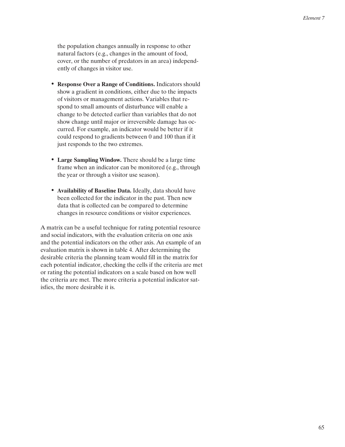the population changes annually in response to other natural factors (e.g., changes in the amount of food, cover, or the number of predators in an area) independently of changes in visitor use.

- **Response Over a Range of Conditions.** Indicators should show a gradient in conditions, either due to the impacts of visitors or management actions. Variables that respond to small amounts of disturbance will enable a change to be detected earlier than variables that do not show change until major or irreversible damage has occurred. For example, an indicator would be better if it could respond to gradients between 0 and 100 than if it just responds to the two extremes.
- **Large Sampling Window.** There should be a large time frame when an indicator can be monitored (e.g., through the year or through a visitor use season).
- **Availability of Baseline Data.** Ideally, data should have been collected for the indicator in the past. Then new data that is collected can be compared to determine changes in resource conditions or visitor experiences.

A matrix can be a useful technique for rating potential resource and social indicators, with the evaluation criteria on one axis and the potential indicators on the other axis. An example of an evaluation matrix is shown in table 4. After determining the desirable criteria the planning team would fill in the matrix for each potential indicator, checking the cells if the criteria are met or rating the potential indicators on a scale based on how well the criteria are met. The more criteria a potential indicator satisfies, the more desirable it is.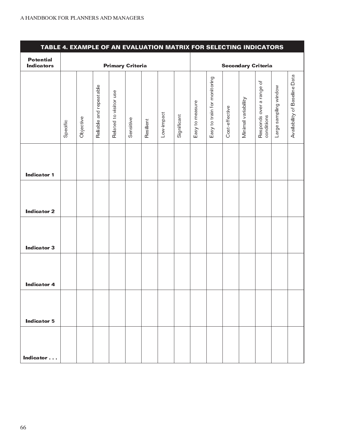| TABLE 4. EXAMPLE OF AN EVALUATION MATRIX FOR SELECTING INDICATORS |          |                         |                         |                        |           |           |            |             |                 |                              |                |                     |                                        |                       |                               |  |
|-------------------------------------------------------------------|----------|-------------------------|-------------------------|------------------------|-----------|-----------|------------|-------------|-----------------|------------------------------|----------------|---------------------|----------------------------------------|-----------------------|-------------------------------|--|
| <b>Potential</b><br>Indicators                                    |          | <b>Primary Criteria</b> |                         |                        |           |           |            |             |                 | <b>Secondary Criteria</b>    |                |                     |                                        |                       |                               |  |
|                                                                   | Specific | Objective               | Reliable and repeatable | Related to visitor use | Sensitive | Resilient | Low-impact | Significant | Easy to measure | Easy to train for monitoring | Cost-effective | Minimal variability | Responds over a range of<br>conditions | Large sampling window | Availability of Baseline Data |  |
| Indicator 1                                                       |          |                         |                         |                        |           |           |            |             |                 |                              |                |                     |                                        |                       |                               |  |
| Indicator 2                                                       |          |                         |                         |                        |           |           |            |             |                 |                              |                |                     |                                        |                       |                               |  |
| Indicator 3                                                       |          |                         |                         |                        |           |           |            |             |                 |                              |                |                     |                                        |                       |                               |  |
| Indicator 4                                                       |          |                         |                         |                        |           |           |            |             |                 |                              |                |                     |                                        |                       |                               |  |
| Indicator 5                                                       |          |                         |                         |                        |           |           |            |             |                 |                              |                |                     |                                        |                       |                               |  |
| Indicator                                                         |          |                         |                         |                        |           |           |            |             |                 |                              |                |                     |                                        |                       |                               |  |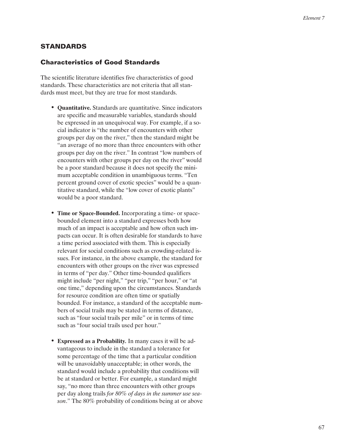#### **STANDARDS**

#### **Characteristics of Good Standards**

The scientific literature identifies five characteristics of good standards. These characteristics are not criteria that all standards must meet, but they are true for most standards.

- **Quantitative.** Standards are quantitative. Since indicators are specific and measurable variables, standards should be expressed in an unequivocal way. For example, if a social indicator is "the number of encounters with other groups per day on the river," then the standard might be "an average of no more than three encounters with other groups per day on the river." In contrast "low numbers of encounters with other groups per day on the river" would be a poor standard because it does not specify the minimum acceptable condition in unambiguous terms. "Ten percent ground cover of exotic species" would be a quantitative standard, while the "low cover of exotic plants" would be a poor standard.
- **Time or Space-Bounded.** Incorporating a time- or spacebounded element into a standard expresses both how much of an impact is acceptable and how often such impacts can occur. It is often desirable for standards to have a time period associated with them. This is especially relevant for social conditions such as crowding-related issues. For instance, in the above example, the standard for encounters with other groups on the river was expressed in terms of "per day." Other time-bounded qualifiers might include "per night," "per trip," "per hour," or "at one time," depending upon the circumstances. Standards for resource condition are often time or spatially bounded. For instance, a standard of the acceptable numbers of social trails may be stated in terms of distance, such as "four social trails per mile" or in terms of time such as "four social trails used per hour."
- **Expressed as a Probability***.* In many cases it will be advantageous to include in the standard a tolerance for some percentage of the time that a particular condition will be unavoidably unacceptable; in other words, the standard would include a probability that conditions will be at standard or better. For example, a standard might say, "no more than three encounters with other groups per day along trails *for 80% of days in the summer use season*." The 80% probability of conditions being at or above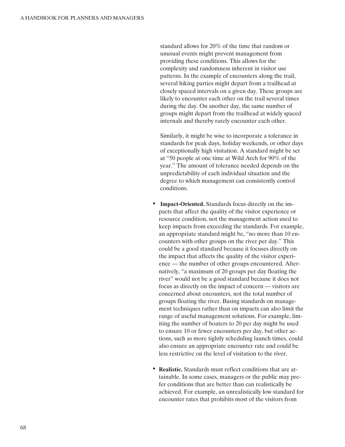standard allows for 20% of the time that random or unusual events might prevent management from providing these conditions. This allows for the complexity and randomness inherent in visitor use patterns. In the example of encounters along the trail, several hiking parties might depart from a trailhead at closely spaced intervals on a given day. These groups are likely to encounter each other on the trail several times during the day. On another day, the same number of groups might depart from the trailhead at widely spaced internals and thereby rarely encounter each other.

Similarly, it might be wise to incorporate a tolerance in standards for peak days, holiday weekends, or other days of exceptionally high visitation. A standard might be set at "50 people at one time at Wild Arch for 90% of the year." The amount of tolerance needed depends on the unpredictability of each individual situation and the degree to which management can consistently control conditions.

- **Impact-Oriented.** Standards focus directly on the impacts that affect the quality of the visitor experience or resource condition, not the management action used to keep impacts from exceeding the standards. For example, an appropriate standard might be, "no more than 10 encounters with other groups on the river per day." This could be a good standard because it focuses directly on the impact that affects the quality of the visitor experience — the number of other groups encountered. Alternatively, "a maximum of 20 groups per day floating the river" would not be a good standard because it does not focus as directly on the impact of concern — visitors are concerned about encounters, not the total number of groups floating the river. Basing standards on management techniques rather than on impacts can also limit the range of useful management solutions. For example, limiting the number of boaters to 20 per day might be used to ensure 10 or fewer encounters per day, but other actions, such as more tightly scheduling launch times, could also ensure an appropriate encounter rate and could be less restrictive on the level of visitation to the river.
- **Realistic.** Standards must reflect conditions that are attainable. In some cases, managers or the public may prefer conditions that are better than can realistically be achieved. For example, an unrealistically low standard for encounter rates that prohibits most of the visitors from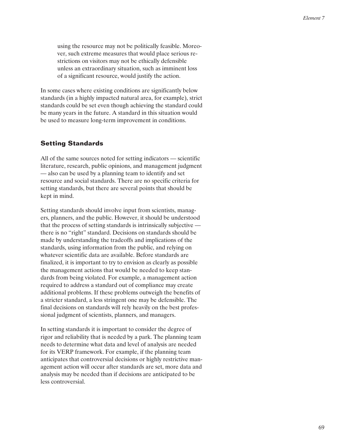using the resource may not be politically feasible. Moreover, such extreme measures that would place serious restrictions on visitors may not be ethically defensible unless an extraordinary situation, such as imminent loss of a significant resource, would justify the action.

In some cases where existing conditions are significantly below standards (in a highly impacted natural area, for example), strict standards could be set even though achieving the standard could be many years in the future. A standard in this situation would be used to measure long-term improvement in conditions.

#### **Setting Standards**

All of the same sources noted for setting indicators — scientific literature, research, public opinions, and management judgment — also can be used by a planning team to identify and set resource and social standards. There are no specific criteria for setting standards, but there are several points that should be kept in mind.

Setting standards should involve input from scientists, managers, planners, and the public. However, it should be understood that the process of setting standards is intrinsically subjective there is no "right" standard. Decisions on standards should be made by understanding the tradeoffs and implications of the standards, using information from the public, and relying on whatever scientific data are available. Before standards are finalized, it is important to try to envision as clearly as possible the management actions that would be needed to keep standards from being violated. For example, a management action required to address a standard out of compliance may create additional problems. If these problems outweigh the benefits of a stricter standard, a less stringent one may be defensible. The final decisions on standards will rely heavily on the best professional judgment of scientists, planners, and managers.

In setting standards it is important to consider the degree of rigor and reliability that is needed by a park. The planning team needs to determine what data and level of analysis are needed for its VERP framework. For example, if the planning team anticipates that controversial decisions or highly restrictive management action will occur after standards are set, more data and analysis may be needed than if decisions are anticipated to be less controversial.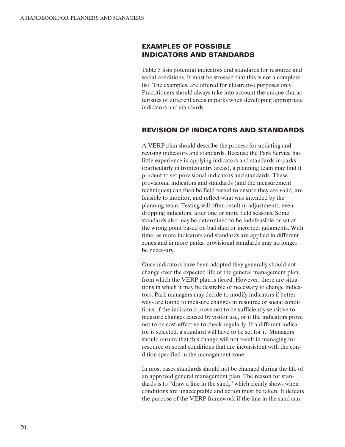#### **EXAMPLES OF POSSIBLE INDICATORS AND STANDARDS**

Table 5 lists potential indicators and standards for resource and social conditions. It must be stressed that this is not a complete list. The examples, are offered for illustrative purposes only. Practitioners should always take into account the unique characteristics of different areas in parks when developing appropriate indicators and standards.

#### **REVISION OF INDICATORS AND STANDARDS**

A VERP plan should describe the process for updating and revising indicators and standards. Because the Park Service has little experience in applying indicators and standards in parks (particularly in frontcountry areas), a planning team may find it prudent to set provisional indicators and standards. These provisional indicators and standards (and the measurement techniques) can then be field tested to ensure they are valid, are feasible to monitor, and reflect what was intended by the planning team. Testing will often result in adjustments, even dropping indicators, after one or more field seasons. Some standards also may be determined to be indefensible or set at the wrong point based on bad data or incorrect judgments. With time, as more indicators and standards are applied in different zones and in more parks, provisional standards may no longer be necessary.

Once indicators have been adopted they generally should not change over the expected life of the general management plan, from which the VERP plan is tiered. However, there are situations in which it may be desirable or necessary to change indicators. Park managers may decide to modify indicators if better ways are found to measure changes in resource or social conditions, if the indicators prove not to be sufficiently sensitive to measure changes caused by visitor use, or if the indicators prove not to be cost-effective to check regularly. If a different indicator is selected, a standard will have to be set for it. Managers should ensure that this change will not result in managing for resource or social conditions that are inconsistent with the condition specified in the management zone.

In most cases standards should not be changed during the life of an approved general management plan. The reason for standards is to "draw a line in the sand," which clearly shows when conditions are unacceptable and action must be taken. It defeats the purpose of the VERP framework if the line in the sand can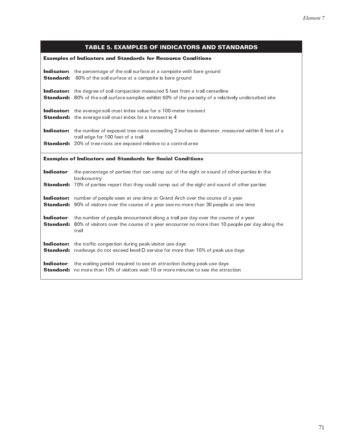|                                                                     | <b>TABLE 5. EXAMPLES OF INDICATORS AND STANDARDS</b>                                                                                                                                                                |
|---------------------------------------------------------------------|---------------------------------------------------------------------------------------------------------------------------------------------------------------------------------------------------------------------|
| <b>Examples of Indicators and Standards for Resource Conditions</b> |                                                                                                                                                                                                                     |
| Standard:                                                           | Indicator: the percentage of the soil surface at a campsite with bare ground<br>60% of the soil surface at a campsite is bare ground                                                                                |
|                                                                     | Indicator: the degree of soil compaction measured 5 feet from a trail centerline<br>Standard: 80% of the soil surface samples exhibit 50% of the porosity of a relatively undisturbed site                          |
|                                                                     | Indicator: the average soil crust index value for a 100-meter transect<br><b>Standard:</b> the average soil crust index for a transect is 4                                                                         |
|                                                                     | Indicator: the number of exposed tree roots exceeding 2 inches in diameter, measured within 6 feet of a<br>trail edge for 100 feet of a trail<br>Standard: 20% of tree roots are exposed relative to a control area |
| <b>Examples of Indicators and Standards for Social Conditions</b>   |                                                                                                                                                                                                                     |
|                                                                     | Indicator: the percentage of parties that can camp out of the sight or sound of other parties in the                                                                                                                |
|                                                                     | backcountry<br><b>Standard:</b> 70% of parties report that they could camp out of the sight and sound of other parties                                                                                              |
|                                                                     | Indicator: number of people seen at one time at Grand Arch over the course of a year<br><b>Standard:</b> 90% of visitors over the course of a year see no more than 30 people at one time                           |
|                                                                     | Indicator: the number of people encountered along a trail per day over the course of a year<br>Standard: 80% of visitors over the course of a year encounter no more than 10 people per day along the<br>trail      |
|                                                                     | <b>Indicator:</b> the traffic congestion during peak visitor use days<br><b>Standard:</b> roadways do not exceed level D service for more than 10% of peak use days                                                 |
|                                                                     | Indicator: the waiting period required to see an attraction during peak use days<br><b>Standard:</b> no more than 10% of visitors wait 10 or more minutes to see the attraction                                     |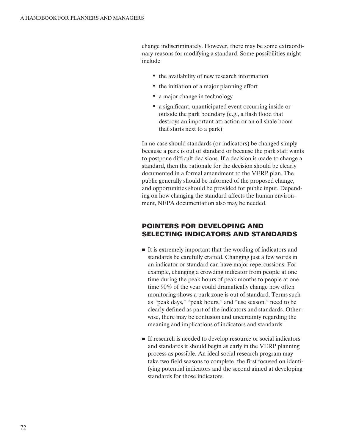change indiscriminately. However, there may be some extraordinary reasons for modifying a standard. Some possibilities might include

- the availability of new research information
- the initiation of a major planning effort
- a major change in technology
- a significant, unanticipated event occurring inside or outside the park boundary (e.g., a flash flood that destroys an important attraction or an oil shale boom that starts next to a park)

In no case should standards (or indicators) be changed simply because a park is out of standard or because the park staff wants to postpone difficult decisions. If a decision is made to change a standard, then the rationale for the decision should be clearly documented in a formal amendment to the VERP plan. The public generally should be informed of the proposed change, and opportunities should be provided for public input. Depending on how changing the standard affects the human environment, NEPA documentation also may be needed.

#### **POINTERS FOR DEVELOPING AND SELECTING INDICATORS AND STANDARDS**

- � It is extremely important that the wording of indicators and standards be carefully crafted. Changing just a few words in an indicator or standard can have major repercussions. For example, changing a crowding indicator from people at one time during the peak hours of peak months to people at one time 90% of the year could dramatically change how often monitoring shows a park zone is out of standard. Terms such as "peak days," "peak hours," and "use season," need to be clearly defined as part of the indicators and standards. Otherwise, there may be confusion and uncertainty regarding the meaning and implications of indicators and standards.
- � If research is needed to develop resource or social indicators and standards it should begin as early in the VERP planning process as possible. An ideal social research program may take two field seasons to complete, the first focused on identifying potential indicators and the second aimed at developing standards for those indicators.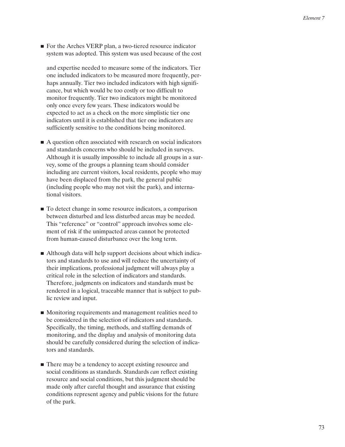■ For the Arches VERP plan, a two-tiered resource indicator system was adopted. This system was used because of the cost

and expertise needed to measure some of the indicators. Tier one included indicators to be measured more frequently, perhaps annually. Tier two included indicators with high significance, but which would be too costly or too difficult to monitor frequently. Tier two indicators might be monitored only once every few years. These indicators would be expected to act as a check on the more simplistic tier one indicators until it is established that tier one indicators are sufficiently sensitive to the conditions being monitored.

- A question often associated with research on social indicators and standards concerns who should be included in surveys. Although it is usually impossible to include all groups in a survey, some of the groups a planning team should consider including are current visitors, local residents, people who may have been displaced from the park, the general public (including people who may not visit the park), and international visitors.
- To detect change in some resource indicators, a comparison between disturbed and less disturbed areas may be needed. This "reference" or "control" approach involves some element of risk if the unimpacted areas cannot be protected from human-caused disturbance over the long term.
- � Although data will help support decisions about which indicators and standards to use and will reduce the uncertainty of their implications, professional judgment will always play a critical role in the selection of indicators and standards. Therefore, judgments on indicators and standards must be rendered in a logical, traceable manner that is subject to public review and input.
- � Monitoring requirements and management realities need to be considered in the selection of indicators and standards. Specifically, the timing, methods, and staffing demands of monitoring, and the display and analysis of monitoring data should be carefully considered during the selection of indicators and standards.
- There may be a tendency to accept existing resource and social conditions as standards. Standards *can* reflect existing resource and social conditions, but this judgment should be made only after careful thought and assurance that existing conditions represent agency and public visions for the future of the park.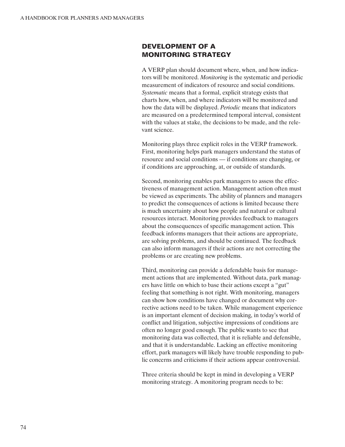#### **DEVELOPMENT OF A MONITORING STRATEGY**

A VERP plan should document where, when, and how indicators will be monitored. *Monitoring* is the systematic and periodic measurement of indicators of resource and social conditions. *Systematic* means that a formal, explicit strategy exists that charts how, when, and where indicators will be monitored and how the data will be displayed. *Periodic* means that indicators are measured on a predetermined temporal interval, consistent with the values at stake, the decisions to be made, and the relevant science.

Monitoring plays three explicit roles in the VERP framework. First, monitoring helps park managers understand the status of resource and social conditions — if conditions are changing, or if conditions are approaching, at, or outside of standards.

Second, monitoring enables park managers to assess the effectiveness of management action. Management action often must be viewed as experiments. The ability of planners and managers to predict the consequences of actions is limited because there is much uncertainty about how people and natural or cultural resources interact. Monitoring provides feedback to managers about the consequences of specific management action. This feedback informs managers that their actions are appropriate, are solving problems, and should be continued. The feedback can also inform managers if their actions are not correcting the problems or are creating new problems.

Third, monitoring can provide a defendable basis for management actions that are implemented. Without data, park managers have little on which to base their actions except a "gut" feeling that something is not right. With monitoring, managers can show how conditions have changed or document why corrective actions need to be taken. While management experience is an important element of decision making, in today's world of conflict and litigation, subjective impressions of conditions are often no longer good enough. The public wants to see that monitoring data was collected, that it is reliable and defensible, and that it is understandable. Lacking an effective monitoring effort, park managers will likely have trouble responding to public concerns and criticisms if their actions appear controversial.

Three criteria should be kept in mind in developing a VERP monitoring strategy. A monitoring program needs to be: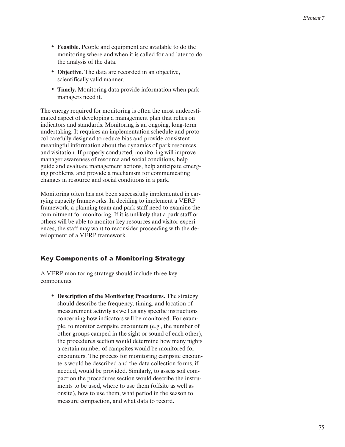- **Feasible.** People and equipment are available to do the monitoring where and when it is called for and later to do the analysis of the data.
- **Objective.** The data are recorded in an objective, scientifically valid manner.
- **Timely.** Monitoring data provide information when park managers need it.

The energy required for monitoring is often the most underestimated aspect of developing a management plan that relies on indicators and standards. Monitoring is an ongoing, long-term undertaking. It requires an implementation schedule and protocol carefully designed to reduce bias and provide consistent, meaningful information about the dynamics of park resources and visitation. If properly conducted, monitoring will improve manager awareness of resource and social conditions, help guide and evaluate management actions, help anticipate emerging problems, and provide a mechanism for communicating changes in resource and social conditions in a park.

Monitoring often has not been successfully implemented in carrying capacity frameworks. In deciding to implement a VERP framework, a planning team and park staff need to examine the commitment for monitoring. If it is unlikely that a park staff or others will be able to monitor key resources and visitor experiences, the staff may want to reconsider proceeding with the development of a VERP framework.

#### **Key Components of a Monitoring Strategy**

A VERP monitoring strategy should include three key components.

• **Description of the Monitoring Procedures.** The strategy should describe the frequency, timing, and location of measurement activity as well as any specific instructions concerning how indicators will be monitored. For example, to monitor campsite encounters (e.g., the number of other groups camped in the sight or sound of each other), the procedures section would determine how many nights a certain number of campsites would be monitored for encounters. The process for monitoring campsite encounters would be described and the data collection forms, if needed, would be provided. Similarly, to assess soil compaction the procedures section would describe the instruments to be used, where to use them (offsite as well as onsite), how to use them, what period in the season to measure compaction, and what data to record.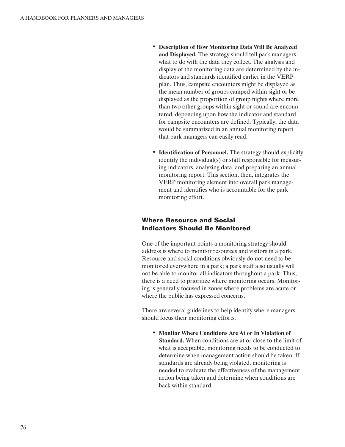- **Description of How Monitoring Data Will Be Analyzed and Displayed.** The strategy should tell park managers what to do with the data they collect. The analysis and display of the monitoring data are determined by the indicators and standards identified earlier in the VERP plan. Thus, campsite encounters might be displayed as the mean number of groups camped within sight or be displayed as the proportion of group nights where more than two other groups within sight or sound are encountered, depending upon how the indicator and standard for campsite encounters are defined. Typically, the data would be summarized in an annual monitoring report that park managers can easily read.
- **Identification of Personnel.** The strategy should explicitly identify the individual(s) or staff responsible for measuring indicators, analyzing data, and preparing an annual monitoring report. This section, then, integrates the VERP monitoring element into overall park management and identifies who is accountable for the park monitoring effort.

#### **Where Resource and Social Indicators Should Be Monitored**

One of the important points a monitoring strategy should address is where to monitor resources and visitors in a park. Resource and social conditions obviously do not need to be monitored everywhere in a park; a park staff also usually will not be able to monitor all indicators throughout a park. Thus, there is a need to prioritize where monitoring occurs. Monitoring is generally focused in zones where problems are acute or where the public has expressed concerns.

There are several guidelines to help identify where managers should focus their monitoring efforts.

• **Monitor Where Conditions Are At or In Violation of Standard.** When conditions are at or close to the limit of what is acceptable, monitoring needs to be conducted to determine when management action should be taken. If standards are already being violated, monitoring is needed to evaluate the effectiveness of the management action being taken and determine when conditions are back within standard.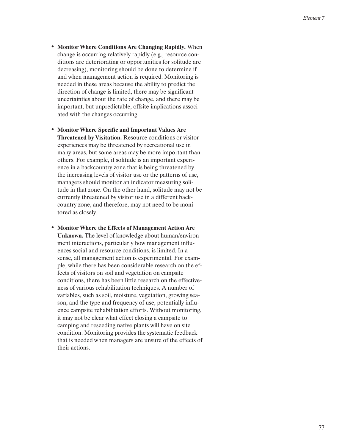- **Monitor Where Conditions Are Changing Rapidly.** When change is occurring relatively rapidly (e.g., resource conditions are deteriorating or opportunities for solitude are decreasing), monitoring should be done to determine if and when management action is required. Monitoring is needed in these areas because the ability to predict the direction of change is limited, there may be significant uncertainties about the rate of change, and there may be important, but unpredictable, offsite implications associated with the changes occurring.
- **Monitor Where Specific and Important Values Are Threatened by Visitation.** Resource conditions or visitor experiences may be threatened by recreational use in many areas, but some areas may be more important than others. For example, if solitude is an important experience in a backcountry zone that is being threatened by the increasing levels of visitor use or the patterns of use, managers should monitor an indicator measuring solitude in that zone. On the other hand, solitude may not be currently threatened by visitor use in a different backcountry zone, and therefore, may not need to be monitored as closely.
- **Monitor Where the Effects of Management Action Are Unknown.** The level of knowledge about human/environment interactions, particularly how management influences social and resource conditions, is limited. In a sense, all management action is experimental. For example, while there has been considerable research on the effects of visitors on soil and vegetation on campsite conditions, there has been little research on the effectiveness of various rehabilitation techniques. A number of variables, such as soil, moisture, vegetation, growing season, and the type and frequency of use, potentially influence campsite rehabilitation efforts. Without monitoring, it may not be clear what effect closing a campsite to camping and reseeding native plants will have on site condition. Monitoring provides the systematic feedback that is needed when managers are unsure of the effects of their actions.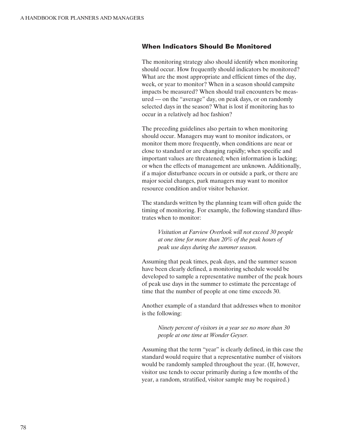#### **When Indicators Should Be Monitored**

The monitoring strategy also should identify when monitoring should occur. How frequently should indicators be monitored? What are the most appropriate and efficient times of the day, week, or year to monitor? When in a season should campsite impacts be measured? When should trail encounters be measured — on the "average" day, on peak days, or on randomly selected days in the season? What is lost if monitoring has to occur in a relatively ad hoc fashion?

The preceding guidelines also pertain to when monitoring should occur. Managers may want to monitor indicators, or monitor them more frequently, when conditions are near or close to standard or are changing rapidly; when specific and important values are threatened; when information is lacking; or when the effects of management are unknown. Additionally, if a major disturbance occurs in or outside a park, or there are major social changes, park managers may want to monitor resource condition and/or visitor behavior.

The standards written by the planning team will often guide the timing of monitoring. For example, the following standard illustrates when to monitor:

*Visitation at Farview Overlook will not exceed 30 people at one time for more than 20% of the peak hours of peak use days during the summer season.*

Assuming that peak times, peak days, and the summer season have been clearly defined, a monitoring schedule would be developed to sample a representative number of the peak hours of peak use days in the summer to estimate the percentage of time that the number of people at one time exceeds 30.

Another example of a standard that addresses when to monitor is the following:

*Ninety percent of visitors in a year see no more than 30 people at one time at Wonder Geyser.*

Assuming that the term "year" is clearly defined, in this case the standard would require that a representative number of visitors would be randomly sampled throughout the year. (If, however, visitor use tends to occur primarily during a few months of the year, a random, stratified, visitor sample may be required.)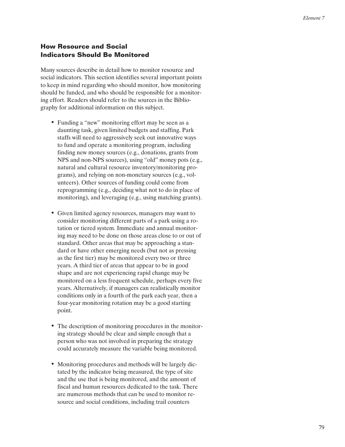#### **How Resource and Social Indicators Should Be Monitored**

Many sources describe in detail how to monitor resource and social indicators. This section identifies several important points to keep in mind regarding who should monitor, how monitoring should be funded, and who should be responsible for a monitoring effort. Readers should refer to the sources in the Bibliography for additional information on this subject.

- Funding a "new" monitoring effort may be seen as a daunting task, given limited budgets and staffing. Park staffs will need to aggressively seek out innovative ways to fund and operate a monitoring program, including finding new money sources (e.g., donations, grants from NPS and non-NPS sources), using "old" money pots (e.g., natural and cultural resource inventory/monitoring programs), and relying on non-monetary sources (e.g., volunteers). Other sources of funding could come from reprogramming (e.g., deciding what not to do in place of monitoring), and leveraging (e.g., using matching grants).
- Given limited agency resources, managers may want to consider monitoring different parts of a park using a rotation or tiered system. Immediate and annual monitoring may need to be done on those areas close to or out of standard. Other areas that may be approaching a standard or have other emerging needs (but not as pressing as the first tier) may be monitored every two or three years. A third tier of areas that appear to be in good shape and are not experiencing rapid change may be monitored on a less frequent schedule, perhaps every five years. Alternatively, if managers can realistically monitor conditions only in a fourth of the park each year, then a four-year monitoring rotation may be a good starting point.
- The description of monitoring procedures in the monitoring strategy should be clear and simple enough that a person who was not involved in preparing the strategy could accurately measure the variable being monitored.
- Monitoring procedures and methods will be largely dictated by the indicator being measured, the type of site and the use that is being monitored, and the amount of fiscal and human resources dedicated to the task. There are numerous methods that can be used to monitor resource and social conditions, including trail counters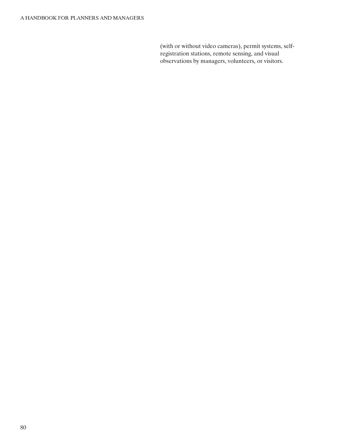(with or without video cameras), permit systems, self-<br>registration stations, remote sensing, and visual observations by managers, volunteers, or visitors.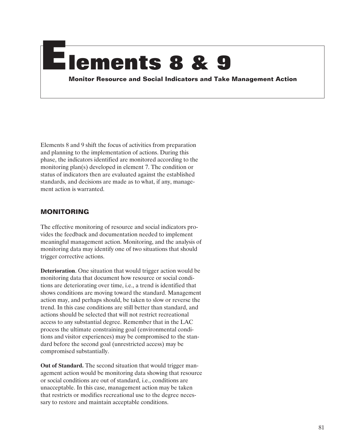### Elements 8 & 9

**Monitor Resource and Social Indicators and Take Management Action**

Elements 8 and 9 shift the focus of activities from preparation and planning to the implementation of actions. During this phase, the indicators identified are monitored according to the monitoring plan(s) developed in element 7. The condition or status of indicators then are evaluated against the established standards, and decisions are made as to what, if any, management action is warranted.

#### **MONITORING**

The effective monitoring of resource and social indicators provides the feedback and documentation needed to implement meaningful management action. Monitoring, and the analysis of monitoring data may identify one of two situations that should trigger corrective actions.

**Deterioration**. One situation that would trigger action would be monitoring data that document how resource or social conditions are deteriorating over time, i.e., a trend is identified that shows conditions are moving toward the standard. Management action may, and perhaps should, be taken to slow or reverse the trend. In this case conditions are still better than standard, and actions should be selected that will not restrict recreational access to any substantial degree. Remember that in the LAC process the ultimate constraining goal (environmental conditions and visitor experiences) may be compromised to the standard before the second goal (unrestricted access) may be compromised substantially.

**Out of Standard.** The second situation that would trigger management action would be monitoring data showing that resource or social conditions are out of standard, i.e., conditions are unacceptable. In this case, management action may be taken that restricts or modifies recreational use to the degree necessary to restore and maintain acceptable conditions.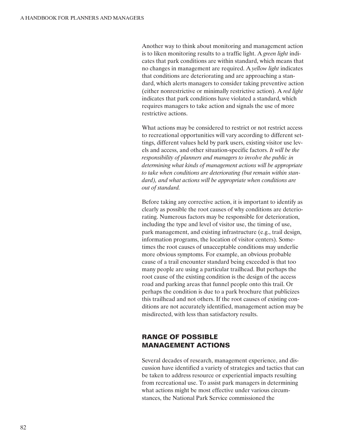Another way to think about monitoring and management action is to liken monitoring results to a traffic light. A *green light* indicates that park conditions are within standard, which means that no changes in management are required. A *yellow light* indicates that conditions are deteriorating and are approaching a standard, which alerts managers to consider taking preventive action (either nonrestrictive or minimally restrictive action). A *red light* indicates that park conditions have violated a standard, which requires managers to take action and signals the use of more restrictive actions.

What actions may be considered to restrict or not restrict access to recreational opportunities will vary according to different settings, different values held by park users, existing visitor use levels and access, and other situation-specific factors. *It will be the responsibility of planners and managers to involve the public in determining what kinds of management actions will be appropriate to take when conditions are deteriorating (but remain within standard), and what actions will be appropriate when conditions are out of standard.*

Before taking any corrective action, it is important to identify as clearly as possible the root causes of why conditions are deteriorating. Numerous factors may be responsible for deterioration, including the type and level of visitor use, the timing of use, park management, and existing infrastructure (e.g., trail design, information programs, the location of visitor centers). Sometimes the root causes of unacceptable conditions may underlie more obvious symptoms. For example, an obvious probable cause of a trail encounter standard being exceeded is that too many people are using a particular trailhead. But perhaps the root cause of the existing condition is the design of the access road and parking areas that funnel people onto this trail. Or perhaps the condition is due to a park brochure that publicizes this trailhead and not others. If the root causes of existing conditions are not accurately identified, management action may be misdirected, with less than satisfactory results.

#### **RANGE OF POSSIBLE MANAGEMENT ACTIONS**

Several decades of research, management experience, and discussion have identified a variety of strategies and tactics that can be taken to address resource or experiential impacts resulting from recreational use. To assist park managers in determining what actions might be most effective under various circumstances, the National Park Service commissioned the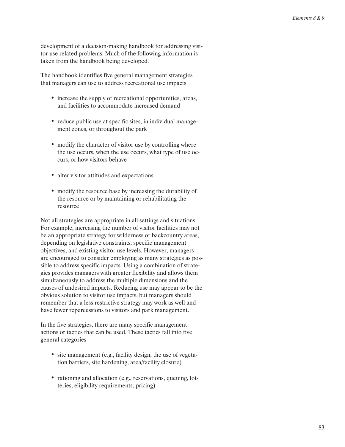development of a decision-making handbook for addressing visitor use related problems. Much of the following information is taken from the handbook being developed.

The handbook identifies five general management strategies that managers can use to address recreational use impacts

- increase the supply of recreational opportunities, areas, and facilities to accommodate increased demand
- reduce public use at specific sites, in individual management zones, or throughout the park
- modify the character of visitor use by controlling where the use occurs, when the use occurs, what type of use occurs, or how visitors behave
- alter visitor attitudes and expectations
- modify the resource base by increasing the durability of the resource or by maintaining or rehabilitating the resource

Not all strategies are appropriate in all settings and situations. For example, increasing the number of visitor facilities may not be an appropriate strategy for wilderness or backcountry areas, depending on legislative constraints, specific management objectives, and existing visitor use levels. However, managers are encouraged to consider employing as many strategies as possible to address specific impacts. Using a combination of strategies provides managers with greater flexibility and allows them simultaneously to address the multiple dimensions and the causes of undesired impacts. Reducing use may appear to be the obvious solution to visitor use impacts, but managers should remember that a less restrictive strategy may work as well and have fewer repercussions to visitors and park management.

In the five strategies, there are many specific management actions or tactics that can be used. These tactics fall into five general categories

- site management (e.g., facility design, the use of vegetation barriers, site hardening, area/facility closure)
- rationing and allocation (e.g., reservations, queuing, lotteries, eligibility requirements, pricing)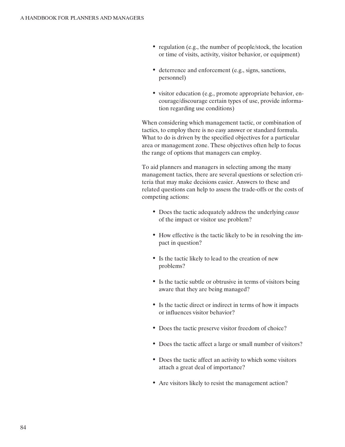- regulation (e.g., the number of people/stock, the location or time of visits, activity, visitor behavior, or equipment)
- deterrence and enforcement (e.g., signs, sanctions, personnel)
- visitor education (e.g., promote appropriate behavior, encourage/discourage certain types of use, provide information regarding use conditions)

When considering which management tactic, or combination of tactics, to employ there is no easy answer or standard formula. What to do is driven by the specified objectives for a particular area or management zone. These objectives often help to focus the range of options that managers can employ.

To aid planners and managers in selecting among the many management tactics, there are several questions or selection criteria that may make decisions easier. Answers to these and related questions can help to assess the trade-offs or the costs of competing actions:

- Does the tactic adequately address the underlying *cause* of the impact or visitor use problem?
- How effective is the tactic likely to be in resolving the impact in question?
- Is the tactic likely to lead to the creation of new problems?
- Is the tactic subtle or obtrusive in terms of visitors being aware that they are being managed?
- Is the tactic direct or indirect in terms of how it impacts or influences visitor behavior?
- Does the tactic preserve visitor freedom of choice?
- Does the tactic affect a large or small number of visitors?
- Does the tactic affect an activity to which some visitors attach a great deal of importance?
- Are visitors likely to resist the management action?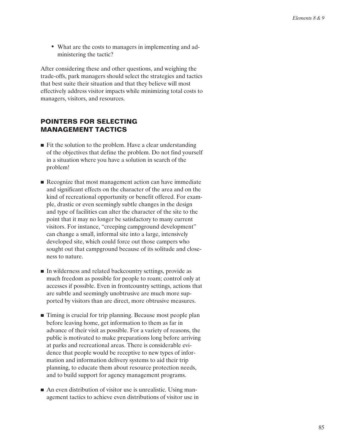• What are the costs to managers in implementing and administering the tactic?

After considering these and other questions, and weighing the trade-offs, park managers should select the strategies and tactics that best suite their situation and that they believe will most effectively address visitor impacts while minimizing total costs to managers, visitors, and resources.

#### **POINTERS FOR SELECTING MANAGEMENT TACTICS**

- Fit the solution to the problem. Have a clear understanding of the objectives that define the problem. Do not find yourself in a situation where you have a solution in search of the problem!
- Recognize that most management action can have immediate and significant effects on the character of the area and on the kind of recreational opportunity or benefit offered. For example, drastic or even seemingly subtle changes in the design and type of facilities can alter the character of the site to the point that it may no longer be satisfactory to many current visitors. For instance, "creeping campground development" can change a small, informal site into a large, intensively developed site, which could force out those campers who sought out that campground because of its solitude and closeness to nature.
- � In wilderness and related backcountry settings, provide as much freedom as possible for people to roam; control only at accesses if possible. Even in frontcountry settings, actions that are subtle and seemingly unobtrusive are much more supported by visitors than are direct, more obtrusive measures.
- Timing is crucial for trip planning. Because most people plan before leaving home, get information to them as far in advance of their visit as possible. For a variety of reasons, the public is motivated to make preparations long before arriving at parks and recreational areas. There is considerable evidence that people would be receptive to new types of information and information delivery systems to aid their trip planning, to educate them about resource protection needs, and to build support for agency management programs.
- An even distribution of visitor use is unrealistic. Using management tactics to achieve even distributions of visitor use in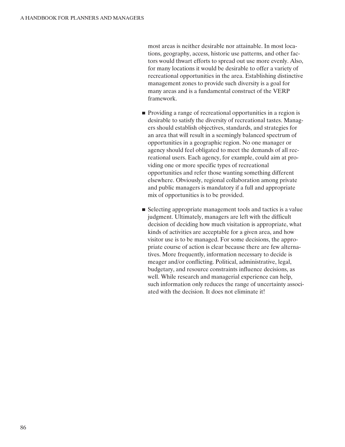most areas is neither desirable nor attainable. In most locations, geography, access, historic use patterns, and other factors would thwart efforts to spread out use more evenly. Also, for many locations it would be desirable to offer a variety of recreational opportunities in the area. Establishing distinctive management zones to provide such diversity is a goal for many areas and is a fundamental construct of the VERP framework.

- **Providing a range of recreational opportunities in a region is** desirable to satisfy the diversity of recreational tastes. Managers should establish objectives, standards, and strategies for an area that will result in a seemingly balanced spectrum of opportunities in a geographic region. No one manager or agency should feel obligated to meet the demands of all recreational users. Each agency, for example, could aim at providing one or more specific types of recreational opportunities and refer those wanting something different elsewhere. Obviously, regional collaboration among private and public managers is mandatory if a full and appropriate mix of opportunities is to be provided.
- � Selecting appropriate management tools and tactics is a value judgment. Ultimately, managers are left with the difficult decision of deciding how much visitation is appropriate, what kinds of activities are acceptable for a given area, and how visitor use is to be managed. For some decisions, the appropriate course of action is clear because there are few alternatives. More frequently, information necessary to decide is meager and/or conflicting. Political, administrative, legal, budgetary, and resource constraints influence decisions, as well. While research and managerial experience can help, such information only reduces the range of uncertainty associated with the decision. It does not eliminate it!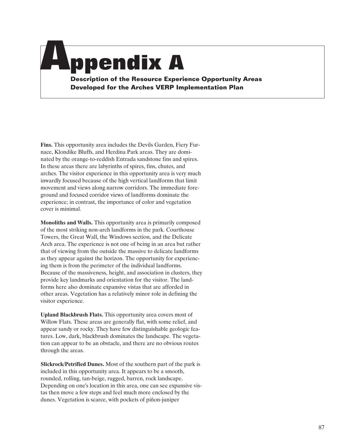### Appendix <sup>A</sup> **Description of the Resource Experience Opportunity Areas Developed for the Arches VERP Implementation Plan**

**Fins.** This opportunity area includes the Devils Garden, Fiery Furnace, Klondike Bluffs, and Herdina Park areas. They are dominated by the orange-to-reddish Entrada sandstone fins and spires. In these areas there are labyrinths of spires, fins, chutes, and arches. The visitor experience in this opportunity area is very much inwardly focused because of the high vertical landforms that limit movement and views along narrow corridors. The immediate foreground and focused corridor views of landforms dominate the experience; in contrast, the importance of color and vegetation cover is minimal.

**Monoliths and Walls.** This opportunity area is primarily composed of the most striking non-arch landforms in the park. Courthouse Towers, the Great Wall, the Windows section, and the Delicate Arch area. The experience is not one of being in an area but rather that of viewing from the outside the massive to delicate landforms as they appear against the horizon. The opportunity for experiencing them is from the perimeter of the individual landforms. Because of the massiveness, height, and association in clusters, they provide key landmarks and orientation for the visitor. The landforms here also dominate expansive vistas that are afforded in other areas. Vegetation has a relatively minor role in defining the visitor experience.

**Upland Blackbrush Flats.** This opportunity area covers most of Willow Flats. These areas are generally flat, with some relief, and appear sandy or rocky. They have few distinguishable geologic features. Low, dark, blackbrush dominates the landscape. The vegetation can appear to be an obstacle, and there are no obvious routes through the areas.

**Slickrock/Petrified Dunes.** Most of the southern part of the park is included in this opportunity area. It appears to be a smooth, rounded, rolling, tan-beige, rugged, barren, rock landscape. Depending on one's location in this area, one can see expansive vistas then move a few steps and feel much more enclosed by the dunes. Vegetation is scarce, with pockets of piñon-juniper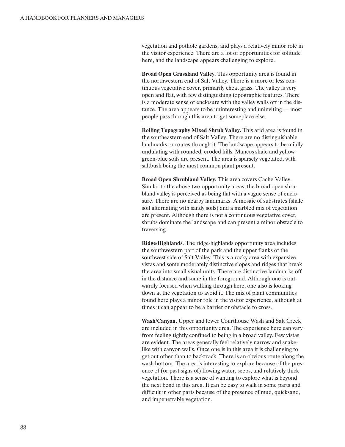vegetation and pothole gardens, and plays a relatively minor role in the visitor experience. There are a lot of opportunities for solitude here, and the landscape appears challenging to explore.

**Broad Open Grassland Valley.** This opportunity area is found in the northwestern end of Salt Valley. There is a more or less continuous vegetative cover, primarily cheat grass. The valley is very open and flat, with few distinguishing topographic features. There is a moderate sense of enclosure with the valley walls off in the distance. The area appears to be uninteresting and uninviting — most people pass through this area to get someplace else.

**Rolling Topography Mixed Shrub Valley.** This arid area is found in the southeastern end of Salt Valley. There are no distinguishable landmarks or routes through it. The landscape appears to be mildly undulating with rounded, eroded hills. Mancos shale and yellowgreen-blue soils are present. The area is sparsely vegetated, with saltbush being the most common plant present.

**Broad Open Shrubland Valley.** This area covers Cache Valley. Similar to the above two opportunity areas, the broad open shrubland valley is perceived as being flat with a vague sense of enclosure. There are no nearby landmarks. A mosaic of substrates (shale soil alternating with sandy soils) and a marbled mix of vegetation are present. Although there is not a continuous vegetative cover, shrubs dominate the landscape and can present a minor obstacle to traversing.

**Ridge/Highlands***.* The ridge/highlands opportunity area includes the southwestern part of the park and the upper flanks of the southwest side of Salt Valley. This is a rocky area with expansive vistas and some moderately distinctive slopes and ridges that break the area into small visual units. There are distinctive landmarks off in the distance and some in the foreground. Although one is outwardly focused when walking through here, one also is looking down at the vegetation to avoid it. The mix of plant communities found here plays a minor role in the visitor experience, although at times it can appear to be a barrier or obstacle to cross.

**Wash/Canyon.** Upper and lower Courthouse Wash and Salt Creek are included in this opportunity area. The experience here can vary from feeling tightly confined to being in a broad valley. Few vistas are evident. The areas generally feel relatively narrow and snakelike with canyon walls. Once one is in this area it is challenging to get out other than to backtrack. There is an obvious route along the wash bottom. The area is interesting to explore because of the presence of (or past signs of) flowing water, seeps, and relatively thick vegetation. There is a sense of wanting to explore what is beyond the next bend in this area. It can be easy to walk in some parts and difficult in other parts because of the presence of mud, quicksand, and impenetrable vegetation.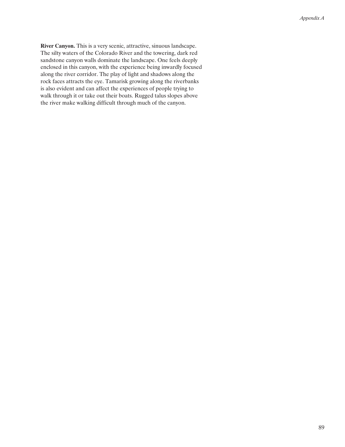**River Canyon.** This is a very scenic, attractive, sinuous landscape. The silty waters of the Colorado River and the towering, dark red sandstone canyon walls dominate the landscape. One feels deeply enclosed in this canyon, with the experience being inwardly focused along the river corridor. The play of light and shadows along the rock faces attracts the eye. Tamarisk growing along the riverbanks is also evident and can affect the experiences of people trying to walk through it or take out their boats. Rugged talus slopes above the river make walking difficult through much of the canyon.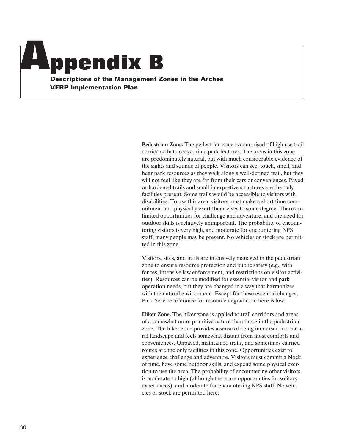### Appendix <sup>B</sup> **Descriptions of the Management Zones in the Arches VERP Implementation Plan**

**Pedestrian Zone.** The pedestrian zone is comprised of high use trail corridors that access prime park features. The areas in this zone are predominately natural, but with much considerable evidence of the sights and sounds of people. Visitors can see, touch, smell, and hear park resources as they walk along a well-defined trail, but they will not feel like they are far from their cars or conveniences. Paved or hardened trails and small interpretive structures are the only facilities present. Some trails would be accessible to visitors with disabilities. To use this area, visitors must make a short time commitment and physically exert themselves to some degree. There are limited opportunities for challenge and adventure, and the need for outdoor skills is relatively unimportant. The probability of encountering visitors is very high, and moderate for encountering NPS staff; many people may be present. No vehicles or stock are permitted in this zone.

Visitors, sites, and trails are intensively managed in the pedestrian zone to ensure resource protection and public safety (e.g., with fences, intensive law enforcement, and restrictions on visitor activities). Resources can be modified for essential visitor and park operation needs, but they are changed in a way that harmonizes with the natural environment. Except for these essential changes, Park Service tolerance for resource degradation here is low.

**Hiker Zone.** The hiker zone is applied to trail corridors and areas of a somewhat more primitive nature than those in the pedestrian zone. The hiker zone provides a sense of being immersed in a natural landscape and feels somewhat distant from most comforts and conveniences. Unpaved, maintained trails, and sometimes cairned routes are the only facilities in this zone. Opportunities exist to experience challenge and adventure. Visitors must commit a block of time, have some outdoor skills, and expend some physical exertion to use the area. The probability of encountering other visitors is moderate to high (although there are opportunities for solitary experiences), and moderate for encountering NPS staff. No vehicles or stock are permitted here.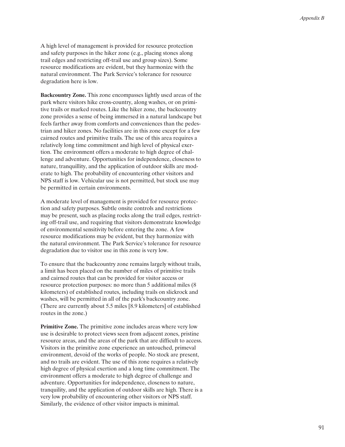A high level of management is provided for resource protection and safety purposes in the hiker zone (e.g., placing stones along trail edges and restricting off-trail use and group sizes). Some resource modifications are evident, but they harmonize with the natural environment. The Park Service's tolerance for resource degradation here is low.

**Backcountry Zone.** This zone encompasses lightly used areas of the park where visitors hike cross-country, along washes, or on primitive trails or marked routes. Like the hiker zone, the backcountry zone provides a sense of being immersed in a natural landscape but feels farther away from comforts and conveniences than the pedestrian and hiker zones. No facilities are in this zone except for a few cairned routes and primitive trails. The use of this area requires a relatively long time commitment and high level of physical exertion. The environment offers a moderate to high degree of challenge and adventure. Opportunities for independence, closeness to nature, tranquillity, and the application of outdoor skills are moderate to high. The probability of encountering other visitors and NPS staff is low. Vehicular use is not permitted, but stock use may be permitted in certain environments.

A moderate level of management is provided for resource protection and safety purposes. Subtle onsite controls and restrictions may be present, such as placing rocks along the trail edges, restricting off-trail use, and requiring that visitors demonstrate knowledge of environmental sensitivity before entering the zone. A few resource modifications may be evident, but they harmonize with the natural environment. The Park Service's tolerance for resource degradation due to visitor use in this zone is very low.

To ensure that the backcountry zone remains largely without trails, a limit has been placed on the number of miles of primitive trails and cairned routes that can be provided for visitor access or resource protection purposes: no more than 5 additional miles (8 kilometers) of established routes, including trails on slickrock and washes, will be permitted in all of the park's backcountry zone. (There are currently about 5.5 miles [8.9 kilometers] of established routes in the zone.)

**Primitive Zone.** The primitive zone includes areas where very low use is desirable to protect views seen from adjacent zones, pristine resource areas, and the areas of the park that are difficult to access. Visitors in the primitive zone experience an untouched, primeval environment, devoid of the works of people. No stock are present, and no trails are evident. The use of this zone requires a relatively high degree of physical exertion and a long time commitment. The environment offers a moderate to high degree of challenge and adventure. Opportunities for independence, closeness to nature, tranquility, and the application of outdoor skills are high. There is a very low probability of encountering other visitors or NPS staff. Similarly, the evidence of other visitor impacts is minimal.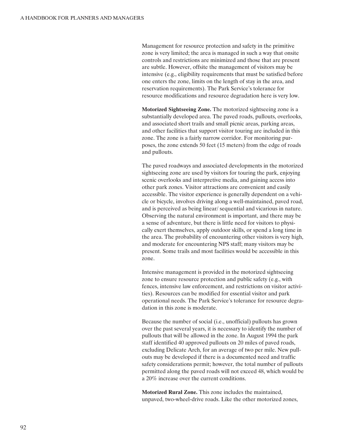Management for resource protection and safety in the primitive zone is very limited; the area is managed in such a way that onsite controls and restrictions are minimized and those that are present are subtle. However, offsite the management of visitors may be intensive (e.g., eligibility requirements that must be satisfied before one enters the zone, limits on the length of stay in the area, and reservation requirements). The Park Service's tolerance for resource modifications and resource degradation here is very low.

**Motorized Sightseeing Zone.** The motorized sightseeing zone is a substantially developed area. The paved roads, pullouts, overlooks, and associated short trails and small picnic areas, parking areas, and other facilities that support visitor touring are included in this zone. The zone is a fairly narrow corridor. For monitoring purposes, the zone extends 50 feet (15 meters) from the edge of roads and pullouts.

The paved roadways and associated developments in the motorized sightseeing zone are used by visitors for touring the park, enjoying scenic overlooks and interpretive media, and gaining access into other park zones. Visitor attractions are convenient and easily accessible. The visitor experience is generally dependent on a vehicle or bicycle, involves driving along a well-maintained, paved road, and is perceived as being linear/ sequential and vicarious in nature. Observing the natural environment is important, and there may be a sense of adventure, but there is little need for visitors to physically exert themselves, apply outdoor skills, or spend a long time in the area. The probability of encountering other visitors is very high, and moderate for encountering NPS staff; many visitors may be present. Some trails and most facilities would be accessible in this zone.

Intensive management is provided in the motorized sightseeing zone to ensure resource protection and public safety (e.g., with fences, intensive law enforcement, and restrictions on visitor activities). Resources can be modified for essential visitor and park operational needs. The Park Service's tolerance for resource degradation in this zone is moderate.

Because the number of social (i.e., unofficial) pullouts has grown over the past several years, it is necessary to identify the number of pullouts that will be allowed in the zone. In August 1994 the park staff identified 40 approved pullouts on 20 miles of paved roads, excluding Delicate Arch, for an average of two per mile. New pullouts may be developed if there is a documented need and traffic safety considerations permit; however, the total number of pullouts permitted along the paved roads will not exceed 48, which would be a 20% increase over the current conditions.

**Motorized Rural Zone.** This zone includes the maintained, unpaved, two-wheel-drive roads. Like the other motorized zones,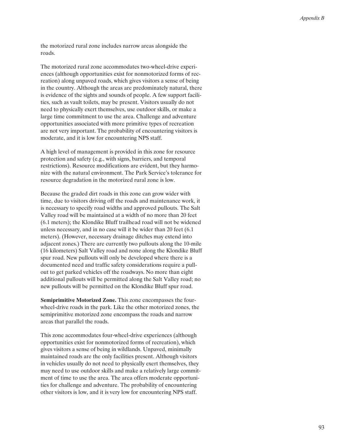the motorized rural zone includes narrow areas alongside the roads.

The motorized rural zone accommodates two-wheel-drive experiences (although opportunities exist for nonmotorized forms of recreation) along unpaved roads, which gives visitors a sense of being in the country. Although the areas are predominately natural, there is evidence of the sights and sounds of people. A few support facilities, such as vault toilets, may be present. Visitors usually do not need to physically exert themselves, use outdoor skills, or make a large time commitment to use the area. Challenge and adventure opportunities associated with more primitive types of recreation are not very important. The probability of encountering visitors is moderate, and it is low for encountering NPS staff.

A high level of management is provided in this zone for resource protection and safety (e.g., with signs, barriers, and temporal restrictions). Resource modifications are evident, but they harmonize with the natural environment. The Park Service's tolerance for resource degradation in the motorized rural zone is low.

Because the graded dirt roads in this zone can grow wider with time, due to visitors driving off the roads and maintenance work, it is necessary to specify road widths and approved pullouts. The Salt Valley road will be maintained at a width of no more than 20 feet (6.1 meters); the Klondike Bluff trailhead road will not be widened unless necessary, and in no case will it be wider than 20 feet (6.1 meters). (However, necessary drainage ditches may extend into adjacent zones.) There are currently two pullouts along the 10-mile (16 kilometers) Salt Valley road and none along the Klondike Bluff spur road. New pullouts will only be developed where there is a documented need and traffic safety considerations require a pullout to get parked vehicles off the roadways. No more than eight additional pullouts will be permitted along the Salt Valley road; no new pullouts will be permitted on the Klondike Bluff spur road.

**Semiprimitive Motorized Zone.** This zone encompasses the fourwheel-drive roads in the park. Like the other motorized zones, the semiprimitive motorized zone encompass the roads and narrow areas that parallel the roads.

This zone accommodates four-wheel-drive experiences (although opportunities exist for nonmotorized forms of recreation), which gives visitors a sense of being in wildlands. Unpaved, minimally maintained roads are the only facilities present. Although visitors in vehicles usually do not need to physically exert themselves, they may need to use outdoor skills and make a relatively large commitment of time to use the area. The area offers moderate opportunities for challenge and adventure. The probability of encountering other visitors is low, and it is very low for encountering NPS staff.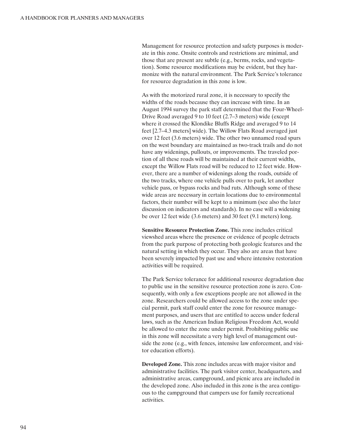Management for resource protection and safety purposes is moderate in this zone. Onsite controls and restrictions are minimal, and those that are present are subtle (e.g., berms, rocks, and vegetation). Some resource modifications may be evident, but they harmonize with the natural environment. The Park Service's tolerance for resource degradation in this zone is low.

As with the motorized rural zone, it is necessary to specify the widths of the roads because they can increase with time. In an August 1994 survey the park staff determined that the Four-Wheel-Drive Road averaged 9 to 10 feet (2.7–3 meters) wide (except where it crossed the Klondike Bluffs Ridge and averaged 9 to 14 feet [2.7–4.3 meters] wide). The Willow Flats Road averaged just over 12 feet (3.6 meters) wide. The other two unnamed road spurs on the west boundary are maintained as two-track trails and do not have any widenings, pullouts, or improvements. The traveled portion of all these roads will be maintained at their current widths, except the Willow Flats road will be reduced to 12 feet wide. However, there are a number of widenings along the roads, outside of the two tracks, where one vehicle pulls over to park, let another vehicle pass, or bypass rocks and bad ruts. Although some of these wide areas are necessary in certain locations due to environmental factors, their number will be kept to a minimum (see also the later discussion on indicators and standards). In no case will a widening be over 12 feet wide (3.6 meters) and 30 feet (9.1 meters) long.

**Sensitive Resource Protection Zone.** This zone includes critical viewshed areas where the presence or evidence of people detracts from the park purpose of protecting both geologic features and the natural setting in which they occur. They also are areas that have been severely impacted by past use and where intensive restoration activities will be required.

The Park Service tolerance for additional resource degradation due to public use in the sensitive resource protection zone is zero. Consequently, with only a few exceptions people are not allowed in the zone. Researchers could be allowed access to the zone under special permit, park staff could enter the zone for resource management purposes, and users that are entitled to access under federal laws, such as the American Indian Religious Freedom Act, would be allowed to enter the zone under permit. Prohibiting public use in this zone will necessitate a very high level of management outside the zone (e.g., with fences, intensive law enforcement, and visitor education efforts).

**Developed Zone.** This zone includes areas with major visitor and administrative facilities. The park visitor center, headquarters, and administrative areas, campground, and picnic area are included in the developed zone. Also included in this zone is the area contiguous to the campground that campers use for family recreational activities.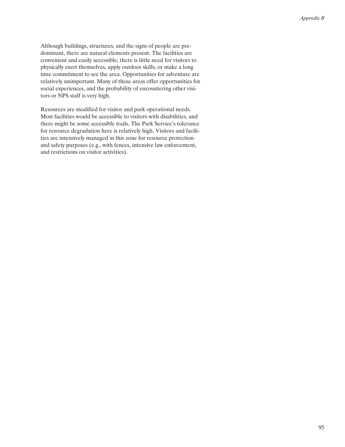Although buildings, structures, and the signs of people are predominant, there are natural elements present. The facilities are convenient and easily accessible; there is little need for visitors to physically exert themselves, apply outdoor skills, or make a long time commitment to see the area. Opportunities for adventure are relatively unimportant. Many of these areas offer opportunities for social experiences, and the probability of encountering other visitors or NPS staff is very high.

Resources are modified for visitor and park operational needs. Most facilities would be accessible to visitors with disabilities, and there might be some accessible trails. The Park Service's tolerance for resource degradation here is relatively high. Visitors and facilities are intensively managed in this zone for resource protection and safety purposes (e.g., with fences, intensive law enforcement, and restrictions on visitor activities).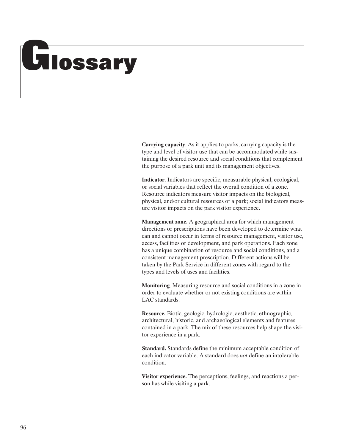# **UTIOSSAry**

**Carrying capacity**. As it applies to parks, carrying capacity is the type and level of visitor use that can be accommodated while sustaining the desired resource and social conditions that complement the purpose of a park unit and its management objectives.

**Indicator**. Indicators are specific, measurable physical, ecological, or social variables that reflect the overall condition of a zone. Resource indicators measure visitor impacts on the biological, physical, and/or cultural resources of a park; social indicators measure visitor impacts on the park visitor experience.

**Management zone.** A geographical area for which management directions or prescriptions have been developed to determine what can and cannot occur in terms of resource management, visitor use, access, facilities or development, and park operations. Each zone has a unique combination of resource and social conditions, and a consistent management prescription. Different actions will be taken by the Park Service in different zones with regard to the types and levels of uses and facilities.

**Monitoring**. Measuring resource and social conditions in a zone in order to evaluate whether or not existing conditions are within LAC standards.

**Resource.** Biotic, geologic, hydrologic, aesthetic, ethnographic, architectural, historic, and archaeological elements and features contained in a park. The mix of these resources help shape the visitor experience in a park.

**Standard.** Standards define the minimum acceptable condition of each indicator variable. A standard does *not* define an intolerable condition.

**Visitor experience.** The perceptions, feelings, and reactions a person has while visiting a park.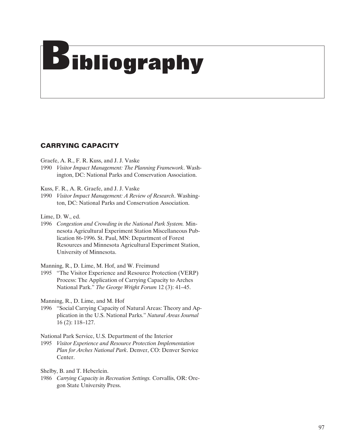# **B**ibliography

#### **CARRYING CAPACITY**

Graefe, A. R., F. R. Kuss, and J. J. Vaske

1990 *Visitor Impact Management: The Planning Framework*. Washington, DC: National Parks and Conservation Association.

Kuss, F. R., A. R. Graefe, and J. J. Vaske

1990 *Visitor Impact Management: A Review of Research*. Washington, DC: National Parks and Conservation Association.

Lime, D. W., ed.

1996 *Congestion and Crowding in the National Park System.* Minnesota Agricultural Experiment Station Miscellaneous Publication 86-1996. St. Paul, MN: Department of Forest Resources and Minnesota Agricultural Experiment Station, University of Minnesota.

Manning, R., D. Lime, M. Hof, and W. Freimund

1995 "The Visitor Experience and Resource Protection (VERP) Process: The Application of Carrying Capacity to Arches National Park." *The George Wright Forum* 12 (3): 41–45.

Manning, R., D. Lime, and M. Hof

1996 "Social Carrying Capacity of Natural Areas: Theory and Application in the U.S. National Parks." *Natural Areas Journal* 16 (2): 118–127.

National Park Service, U.S. Department of the Interior

1995 *Visitor Experience and Resource Protection Implementation Plan for Arches National Park*. Denver, CO: Denver Service Center.

Shelby, B. and T. Heberlein.

1986 *Carrying Capacity in Recreation Settings.* Corvallis, OR: Oregon State University Press.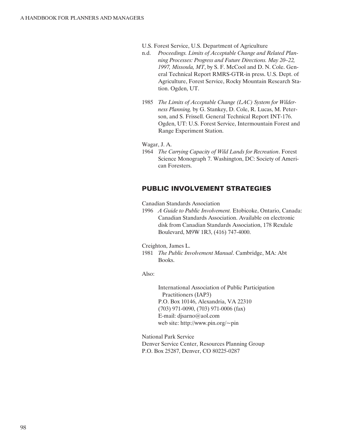- U.S. Forest Service, U.S. Department of Agriculture
- n.d. *Proceedings. Limits of Acceptable Change and Related Planning Processes: Progress and Future Directions. May 20–22, 1997, Missoula, MT*, by S. F. McCool and D. N. Cole. General Technical Report RMRS-GTR-in press. U.S. Dept. of Agriculture, Forest Service, Rocky Mountain Research Station. Ogden, UT.
- 1985 *The Limits of Acceptable Change (LAC) System for Wilderness Planning,* by G. Stankey, D. Cole, R. Lucas, M. Peterson, and S. Frissell. General Technical Report INT-176. Ogden, UT: U.S. Forest Service, Intermountain Forest and Range Experiment Station.
- Wagar, J. A.
- 1964 *The Carrying Capacity of Wild Lands for Recreation*. Forest Science Monograph 7. Washington, DC: Society of American Foresters.

#### **PUBLIC INVOLVEMENT STRATEGIES**

Canadian Standards Association

1996 *A Guide to Public Involvement.* Etobicoke, Ontario, Canada: Canadian Standards Association. Available on electronic disk from Canadian Standards Association, 178 Rexdale Boulevard, M9W 1R3, (416) 747-4000.

Creighton, James L.

1981 *The Public Involvement Manual*. Cambridge, MA: Abt Books.

Also:

International Association of Public Participation Practitioners (IAP3) P.O. Box 10146, Alexandria, VA 22310 (703) 971-0090, (703) 971-0006 (fax) E-mail: djsarno@aol.com web site: http://www.pin.org/~pin

National Park Service Denver Service Center, Resources Planning Group P.O. Box 25287, Denver, CO 80225-0287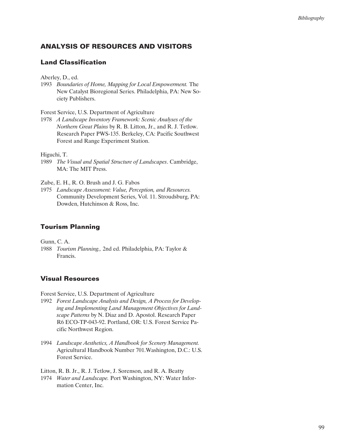#### **ANALYSIS OF RESOURCES AND VISITORS**

#### **Land Classification**

Aberley, D., ed.

1993 *Boundaries of Home, Mapping for Local Empowerment.* The New Catalyst Bioregional Series. Philadelphia, PA: New Society Publishers.

Forest Service, U.S. Department of Agriculture

1978 *A Landscape Inventory Framework: Scenic Analyses of the Northern Great Plains* by R. B. Litton, Jr., and R. J. Tetlow. Research Paper PWS-135. Berkeley, CA: Pacific Southwest Forest and Range Experiment Station.

Higuchi, T.

1989 *The Visual and Spatial Structure of Landscapes*. Cambridge, MA: The MIT Press.

Zube, E. H., R. O. Brush and J. G. Fabos

1975 *Landscape Assessment: Value, Perception, and Resources.* Community Development Series, Vol. 11. Stroudsburg, PA: Dowden, Hutchinson & Ross, Inc.

#### **Tourism Planning**

Gunn, C. A.

1988 *Tourism Planning.,* 2nd ed. Philadelphia, PA: Taylor & Francis.

#### **Visual Resources**

Forest Service, U.S. Department of Agriculture

- 1992 *Forest Landscape Analysis and Design, A Process for Developing and Implementing Land Management Objectives for Landscape Patterns* by N. Diaz and D. Apostol. Research Paper R6 ECO-TP-043-92. Portland, OR: U.S. Forest Service Pacific Northwest Region.
- 1994 *Landscape Aesthetics, A Handbook for Scenery Management.* Agricultural Handbook Number 701.Washington, D.C.: U.S. Forest Service.

Litton, R. B. Jr., R. J. Tetlow, J. Sorenson, and R. A. Beatty

1974 *Water and Landscape.* Port Washington, NY: Water Information Center, Inc.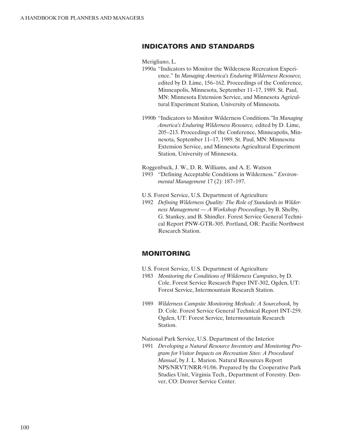#### **INDICATORS AND STANDARDS**

#### Merigliano, L.

- 1990a "Indicators to Monitor the Wilderness Recreation Experience." In *Managing America's Enduring Wilderness Resource,* edited by D. Lime, 156–162. Proceedings of the Conference, Minneapolis, Minnesota, September 11–17, 1989. St. Paul, MN: Minnesota Extension Service, and Minnesota Agricultural Experiment Station, University of Minnesota.
- 1990b "Indicators to Monitor Wilderness Conditions."In *Managing America's Enduring Wilderness Resource,* edited by D. Lime, 205–213. Proceedings of the Conference, Minneapolis, Minnesota, September 11–17, 1989. St. Paul, MN: Minnesota Extension Service, and Minnesota Agricultural Experiment Station, University of Minnesota.
- Roggenbuck, J. W., D. R. Williams, and A. E. Watson
- 1993 "Defining Acceptable Conditions in Wilderness." *Environmental Management* 17 (2): 187–197.
- U.S. Forest Service, U.S. Department of Agriculture
- 1992 *Defining Wilderness Quality: The Role of Standards in Wilderness Management — A Workshop Proceedings*, by B. Shelby, G. Stankey, and B. Shindler. Forest Service General Technical Report PNW-GTR-305. Portland, OR: Pacific Northwest Research Station.

#### **MONITORING**

- U.S. Forest Service, U.S. Department of Agriculture
- 1983 *Monitoring the Conditions of Wilderness Campsites*, by D. Cole. Forest Service Research Paper INT-302, Ogden, UT: Forest Service, Intermountain Research Station.
- 1989 *Wilderness Campsite Monitoring Methods: A Sourcebook,* by D. Cole. Forest Service General Technical Report INT-259. Ogden, UT: Forest Service, Intermountain Research Station.

National Park Service, U.S. Department of the Interior

1991 *Developing a Natural Resource Inventory and Monitoring Program for Visitor Impacts on Recreation Sites: A Procedural Manual*, by J. L. Marion. Natural Resources Report NPS/NRVT/NRR-91/06. Prepared by the Cooperative Park Studies Unit, Virginia Tech., Department of Forestry. Denver, CO: Denver Service Center.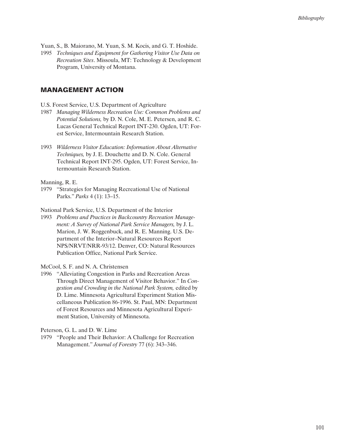- Yuan, S., B. Maiorano, M. Yuan, S. M. Kocis, and G. T. Hoshide.
- 1995 *Techniques and Equipment for Gathering Visitor Use Data on Recreation Sites*. Missoula, MT: Technology & Development Program, University of Montana.

#### **MANAGEMENT ACTION**

U.S. Forest Service, U.S. Department of Agriculture

- 1987 *Managing Wilderness Recreation Use: Common Problems and Potential Solutions,* by D. N. Cole, M. E. Petersen, and R. C. Lucas General Technical Report INT-230. Ogden, UT: Forest Service, Intermountain Research Station.
- 1993 *Wilderness Visitor Education: Information About Alternative Techniques,* by J. E. Douchette and D. N. Cole. General Technical Report INT-295. Ogden, UT: Forest Service, Intermountain Research Station.

Manning, R. E.

1979 "Strategies for Managing Recreational Use of National Parks." *Parks* 4 (1): 13–15.

National Park Service, U.S. Department of the Interior

1993 *Problems and Practices in Backcountry Recreation Management: A Survey of National Park Service Managers,* by J. L. Marion, J. W. Roggenbuck, and R. E. Manning. U.S. Department of the Interior–Natural Resources Report NPS/NRVT/NRR-93/12. Denver, CO: Natural Resources Publication Office, National Park Service.

McCool, S. F. and N. A. Christensen

1996 "Alleviating Congestion in Parks and Recreation Areas Through Direct Management of Visitor Behavior." In *Congestion and Crowding in the National Park System,* edited by D. Lime. Minnesota Agricultural Experiment Station Miscellaneous Publication 86-1996. St. Paul, MN: Department of Forest Resources and Minnesota Agricultural Experiment Station, University of Minnesota.

Peterson, G. L. and D. W. Lime

1979 "People and Their Behavior: A Challenge for Recreation Management." *Journal of Forestry* 77 (6): 343–346.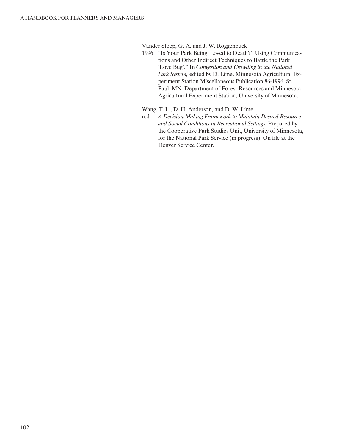Vander Stoep, G. A. and J. W. Roggenbuck

- 1996 "Is Your Park Being 'Loved to Death?': Using Communications and Other Indirect Techniques to Battle the Park 'Love Bug'." In *Congestion and Crowding in the National Park System,* edited by D. Lime. Minnesota Agricultural Experiment Station Miscellaneous Publication 86-1996. St. Paul, MN: Department of Forest Resources and Minnesota Agricultural Experiment Station, University of Minnesota.
- Wang, T. L., D. H. Anderson, and D. W. Lime
- n.d. *A Decision-Making Framework to Maintain Desired Resource and Social Conditions in Recreational Settings.* Prepared by the Cooperative Park Studies Unit, University of Minnesota, for the National Park Service (in progress). On file at the Denver Service Center.